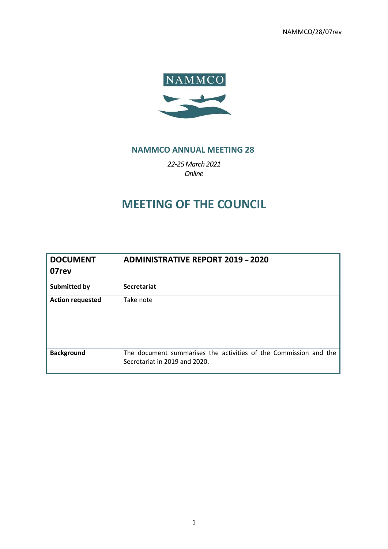NAMMCO/28/07rev



## **NAMMCO ANNUAL MEETING 28**

*22-25March 2021 Online*

# **MEETING OF THE COUNCIL**

| <b>DOCUMENT</b><br>07rev | <b>ADMINISTRATIVE REPORT 2019 - 2020</b>                                                          |
|--------------------------|---------------------------------------------------------------------------------------------------|
| <b>Submitted by</b>      | <b>Secretariat</b>                                                                                |
| <b>Action requested</b>  | Take note                                                                                         |
| <b>Background</b>        | The document summarises the activities of the Commission and the<br>Secretariat in 2019 and 2020. |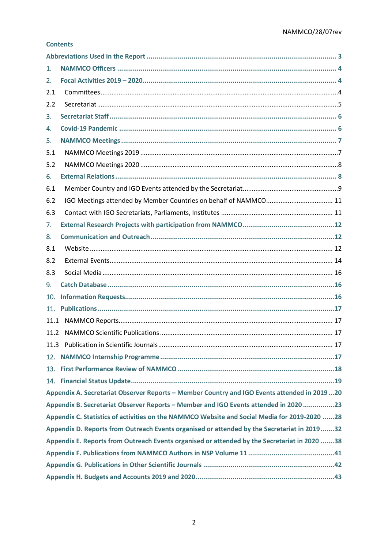## **Contents**

| 1.  |                                                                                              |
|-----|----------------------------------------------------------------------------------------------|
| 2.  |                                                                                              |
| 2.1 |                                                                                              |
| 2.2 |                                                                                              |
| 3.  |                                                                                              |
| 4.  |                                                                                              |
| 5.  |                                                                                              |
| 5.1 |                                                                                              |
| 5.2 |                                                                                              |
| 6.  |                                                                                              |
| 6.1 |                                                                                              |
| 6.2 |                                                                                              |
| 6.3 |                                                                                              |
| 7.  |                                                                                              |
| 8.  |                                                                                              |
| 8.1 |                                                                                              |
| 8.2 |                                                                                              |
| 8.3 |                                                                                              |
| 9.  |                                                                                              |
| 10. |                                                                                              |
| 11. |                                                                                              |
|     |                                                                                              |
|     |                                                                                              |
|     |                                                                                              |
|     |                                                                                              |
|     |                                                                                              |
|     |                                                                                              |
|     | Appendix A. Secretariat Observer Reports - Member Country and IGO Events attended in 201920  |
|     | Appendix B. Secretariat Observer Reports - Member and IGO Events attended in 2020 23         |
|     | Appendix C. Statistics of activities on the NAMMCO Website and Social Media for 2019-2020 28 |
|     | Appendix D. Reports from Outreach Events organised or attended by the Secretariat in 201932  |
|     | Appendix E. Reports from Outreach Events organised or attended by the Secretariat in 2020 38 |
|     |                                                                                              |
|     |                                                                                              |
|     |                                                                                              |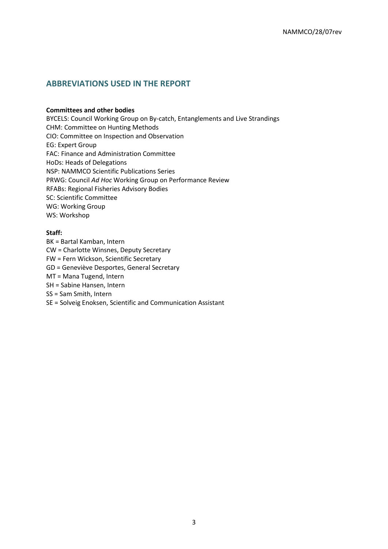## <span id="page-2-0"></span>**ABBREVIATIONS USED IN THE REPORT**

#### **Committees and other bodies**

BYCELS: Council Working Group on By-catch, Entanglements and Live Strandings CHM: Committee on Hunting Methods CIO: Committee on Inspection and Observation EG: Expert Group FAC: Finance and Administration Committee HoDs: Heads of Delegations NSP: NAMMCO Scientific Publications Series PRWG: Council *Ad Hoc* Working Group on Performance Review RFABs: Regional Fisheries Advisory Bodies SC: Scientific Committee WG: Working Group WS: Workshop

#### **Staff:**

- BK = Bartal Kamban, Intern CW = Charlotte Winsnes, Deputy Secretary FW = Fern Wickson, Scientific Secretary GD = Geneviève Desportes, General Secretary MT = Mana Tugend, Intern SH = Sabine Hansen, Intern SS = Sam Smith, Intern
- SE = Solveig Enoksen, Scientific and Communication Assistant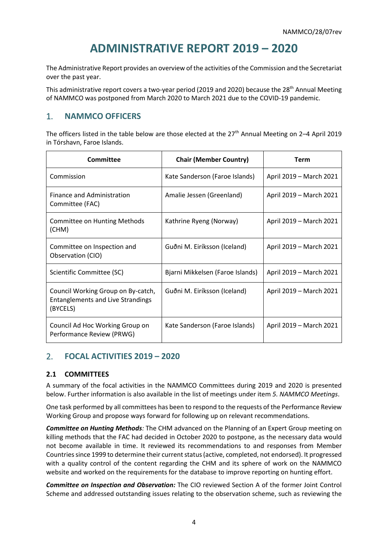# **ADMINISTRATIVE REPORT 2019 – 2020**

The Administrative Report provides an overview of the activities of the Commission and the Secretariat over the past year.

This administrative report covers a two-year period (2019 and 2020) because the 28<sup>th</sup> Annual Meeting of NAMMCO was postponed from March 2020 to March 2021 due to the COVID-19 pandemic.

## <span id="page-3-0"></span>1. **NAMMCO OFFICERS**

The officers listed in the table below are those elected at the 27<sup>th</sup> Annual Meeting on 2–4 April 2019 in Tórshavn, Faroe Islands.

| Committee                                                                                  | <b>Chair (Member Country)</b>    | Term                    |
|--------------------------------------------------------------------------------------------|----------------------------------|-------------------------|
| Commission                                                                                 | Kate Sanderson (Faroe Islands)   | April 2019 - March 2021 |
| Finance and Administration<br>Committee (FAC)                                              | Amalie Jessen (Greenland)        | April 2019 – March 2021 |
| <b>Committee on Hunting Methods</b><br>(CHM)                                               | Kathrine Ryeng (Norway)          | April 2019 - March 2021 |
| Committee on Inspection and<br>Observation (CIO)                                           | Guðni M. Eiríksson (Iceland)     | April 2019 - March 2021 |
| Scientific Committee (SC)                                                                  | Bjarni Mikkelsen (Faroe Islands) | April 2019 - March 2021 |
| Council Working Group on By-catch,<br><b>Entanglements and Live Strandings</b><br>(BYCELS) | Guðni M. Eiríksson (Iceland)     | April 2019 - March 2021 |
| Council Ad Hoc Working Group on<br>Performance Review (PRWG)                               | Kate Sanderson (Faroe Islands)   | April 2019 - March 2021 |

## <span id="page-3-1"></span>2. **FOCAL ACTIVITIES 2019 – 2020**

## <span id="page-3-2"></span>**2.1 COMMITTEES**

A summary of the focal activities in the NAMMCO Committees during 2019 and 2020 is presented below. Further information is also available in the list of meetings under item *[5. NAMMCO Meetings](#page-6-0)*.

One task performed by all committees has been to respond to the requests of the Performance Review Working Group and propose ways forward for following up on relevant recommendations.

*Committee on Hunting Methods:* The CHM advanced on the Planning of an Expert Group meeting on killing methods that the FAC had decided in October 2020 to postpone, as the necessary data would not become available in time. It reviewed its recommendations to and responses from Member Countries since 1999 to determine their current status (active, completed, not endorsed). It progressed with a quality control of the content regarding the CHM and its sphere of work on the NAMMCO website and worked on the requirements for the database to improve reporting on hunting effort.

*Committee on Inspection and Observation:* The CIO reviewed Section A of the former Joint Control Scheme and addressed outstanding issues relating to the observation scheme, such as reviewing the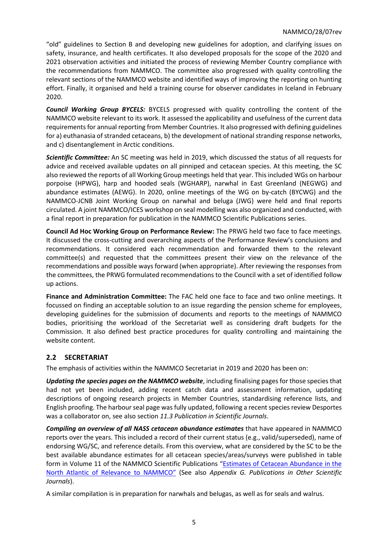"old" guidelines to Section B and developing new guidelines for adoption, and clarifying issues on safety, insurance, and health certificates. It also developed proposals for the scope of the 2020 and 2021 observation activities and initiated the process of reviewing Member Country compliance with the recommendations from NAMMCO. The committee also progressed with quality controlling the relevant sections of the NAMMCO website and identified ways of improving the reporting on hunting effort. Finally, it organised and held a training course for observer candidates in Iceland in February 2020.

*Council Working Group BYCELS:* BYCELS progressed with quality controlling the content of the NAMMCO website relevant to its work. It assessed the applicability and usefulness of the current data requirements for annual reporting from Member Countries. It also progressed with defining guidelines for a) euthanasia of stranded cetaceans, b) the development of national stranding response networks, and c) disentanglement in Arctic conditions.

*Scientific Committee:* An SC meeting was held in 2019, which discussed the status of all requests for advice and received available updates on all pinniped and cetacean species. At this meeting, the SC also reviewed the reports of all Working Group meetings held that year. This included WGs on harbour porpoise (HPWG), harp and hooded seals (WGHARP), narwhal in East Greenland (NEGWG) and abundance estimates (AEWG). In 2020, online meetings of the WG on by-catch (BYCWG) and the NAMMCO-JCNB Joint Working Group on narwhal and beluga (JWG) were held and final reports circulated. A joint NAMMCO/ICES workshop on seal modelling was also organized and conducted, with a final report in preparation for publication in the NAMMCO Scientific Publications series.

**Council Ad Hoc Working Group on Performance Review:** The PRWG held two face to face meetings. It discussed the cross-cutting and overarching aspects of the Performance Review's conclusions and recommendations. It considered each recommendation and forwarded them to the relevant committee(s) and requested that the committees present their view on the relevance of the recommendations and possible ways forward (when appropriate). After reviewing the responses from the committees, the PRWG formulated recommendations to the Council with a set of identified follow up actions.

**Finance and Administration Committee:** The FAC held one face to face and two online meetings. It focussed on finding an acceptable solution to an issue regarding the pension scheme for employees, developing guidelines for the submission of documents and reports to the meetings of NAMMCO bodies, prioritising the workload of the Secretariat well as considering draft budgets for the Commission. It also defined best practice procedures for quality controlling and maintaining the website content.

## <span id="page-4-0"></span>**2.2 SECRETARIAT**

The emphasis of activities within the NAMMCO Secretariat in 2019 and 2020 has been on:

*Updating the species pages on the NAMMCO website*, including finalising pages for those species that had not yet been included, adding recent catch data and assessment information, updating descriptions of ongoing research projects in Member Countries, standardising reference lists, and English proofing. The harbour seal page wasfully updated, following a recent species review Desportes was a collaborator on, see also section *[11.3](#page-16-3) [Publication in Scientific Journals](#page-16-3)*.

*Compiling an overview of all NASS cetacean abundance estimates* that have appeared in NAMMCO reports over the years. This included a record of their current status (e.g., valid/superseded), name of endorsing WG/SC, and reference details. From this overview, what are considered by the SC to be the best available abundance estimates for all cetacean species/areas/surveys were published in table form in Volume 11 of the NAMMCO Scientific Publications "[Estimates of Cetacean Abundance in the](https://doi.org/10.7557/3.5732)  [North Atlantic of Relevance to NAMMCO](https://doi.org/10.7557/3.5732)" (See also *[Appendix G. Publications](#page-41-0) in Other Scientific [Journals](#page-41-0)*).

A similar compilation is in preparation for narwhals and belugas, as well as for seals and walrus.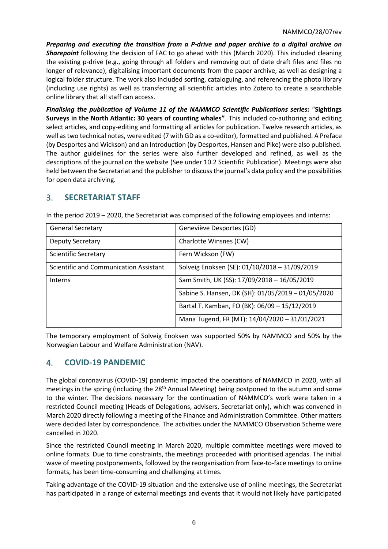*Preparing and executing the transition from a P-drive and paper archive to a digital archive on Sharepoint* following the decision of FAC to go ahead with this (March 2020). This included cleaning the existing p-drive (e.g., going through all folders and removing out of date draft files and files no longer of relevance), digitalising important documents from the paper archive, as well as designing a logical folder structure. The work also included sorting, cataloguing, and referencing the photo library (including use rights) as well as transferring all scientific articles into Zotero to create a searchable online library that all staff can access.

*Finalising the publication of Volume 11 of the NAMMCO Scientific Publications series:* "**Sightings Surveys in the North Atlantic: 30 years of counting whales"**. This included co-authoring and editing select articles, and copy-editing and formatting all articles for publication. Twelve research articles, as well as two technical notes, were edited (7 with GD as a co-editor), formatted and published. A Preface (by Desportes and Wickson) and an Introduction (by Desportes, Hansen and Pike) were also published. The author guidelines for the series were also further developed and refined, as well as the descriptions of the journal on the website (See under 10.2 Scientific Publication). Meetings were also held between the Secretariat and the publisher to discuss the journal's data policy and the possibilities for open data archiving.

## <span id="page-5-0"></span>3. **SECRETARIAT STAFF**

| <b>General Secretary</b>               | Geneviève Desportes (GD)                           |
|----------------------------------------|----------------------------------------------------|
| Deputy Secretary                       | Charlotte Winsnes (CW)                             |
| <b>Scientific Secretary</b>            | Fern Wickson (FW)                                  |
| Scientific and Communication Assistant | Solveig Enoksen (SE): 01/10/2018 - 31/09/2019      |
| Interns                                | Sam Smith, UK (SS): 17/09/2018 - 16/05/2019        |
|                                        | Sabine S. Hansen, DK (SH): 01/05/2019 - 01/05/2020 |
|                                        | Bartal T. Kamban, FO (BK): 06/09 - 15/12/2019      |
|                                        | Mana Tugend, FR (MT): 14/04/2020 - 31/01/2021      |

In the period 2019 – 2020, the Secretariat was comprised of the following employees and interns:

The temporary employment of Solveig Enoksen was supported 50% by NAMMCO and 50% by the Norwegian Labour and Welfare Administration (NAV).

## <span id="page-5-1"></span>4. **COVID-19 PANDEMIC**

The global coronavirus (COVID-19) pandemic impacted the operations of NAMMCO in 2020, with all meetings in the spring (including the 28<sup>th</sup> Annual Meeting) being postponed to the autumn and some to the winter. The decisions necessary for the continuation of NAMMCO's work were taken in a restricted Council meeting (Heads of Delegations, advisers, Secretariat only), which was convened in March 2020 directly following a meeting of the Finance and Administration Committee. Other matters were decided later by correspondence. The activities under the NAMMCO Observation Scheme were cancelled in 2020.

Since the restricted Council meeting in March 2020, multiple committee meetings were moved to online formats. Due to time constraints, the meetings proceeded with prioritised agendas. The initial wave of meeting postponements, followed by the reorganisation from face-to-face meetings to online formats, has been time-consuming and challenging at times.

Taking advantage of the COVID-19 situation and the extensive use of online meetings, the Secretariat has participated in a range of external meetings and events that it would not likely have participated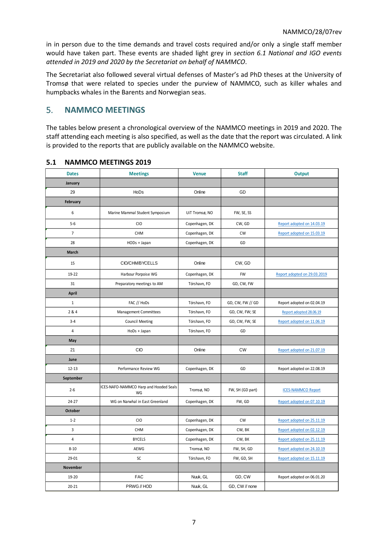in in person due to the time demands and travel costs required and/or only a single staff member would have taken part. These events are shaded light grey in *section 6.1 National and IGO events attended in 2019 and 2020 by the Secretariat on behalf of NAMMCO*.

The Secretariat also followed several virtual defenses of Master's ad PhD theses at the University of Tromsø that were related to species under the purview of NAMMCO, such as killer whales and humpbacks whales in the Barents and Norwegian seas.

## <span id="page-6-0"></span>5. **NAMMCO MEETINGS**

The tables below present a chronological overview of the NAMMCO meetings in 2019 and 2020. The staff attending each meeting is also specified, as well as the date that the report was circulated. A link is provided to the reports that are publicly available on the NAMMCO website.

| <b>Dates</b>    | <b>Meetings</b>                              | <b>Venue</b>   | <b>Staff</b>     | <b>Output</b>                |
|-----------------|----------------------------------------------|----------------|------------------|------------------------------|
| January         |                                              |                |                  |                              |
| 29              | HoDs                                         | Online         | GD               |                              |
| February        |                                              |                |                  |                              |
| 6               | Marine Mammal Student Symposium              | UiT Tromsø, NO | FW, SE, SS       |                              |
| $5 - 6$         | <b>CIO</b>                                   | Copenhagen, DK | CW, GD           | Report adopted on 14.03.19   |
| $\overline{7}$  | CHM                                          | Copenhagen, DK | <b>CW</b>        | Report adopted on 15.03.19   |
| 28              | HODs + Japan                                 | Copenhagen, DK | GD               |                              |
| March           |                                              |                |                  |                              |
| 15              | CIO/CHM/BYCELLS                              | Online         | CW, GD           |                              |
| 19-22           | Harbour Porpoise WG                          | Copenhagen, DK | <b>FW</b>        | Report adopted on 29.03.2019 |
| 31              | Preparatory meetings to AM                   | Tórshavn, FO   | GD, CW, FW       |                              |
| April           |                                              |                |                  |                              |
| $1\,$           | FAC // HoDs                                  | Tórshavn, FO   | GD, CW, FW // GD | Report adopted on 02.04.19   |
| 2 & 4           | Management Committees                        | Tórshavn, FO   | GD, CW, FW; SE   | Report adopted 28.06.19      |
| $3 - 4$         | <b>Council Meeting</b>                       | Tórshavn, FO   | GD, CW, FW, SE   | Report adopted on 11.06.19   |
| $\overline{4}$  | HoDs + Japan                                 | Tórshavn, FO   | GD               |                              |
| May             |                                              |                |                  |                              |
| 21              | CIO                                          | Online         | <b>CW</b>        | Report adopted on 21.07.19   |
| June            |                                              |                |                  |                              |
| $12 - 13$       | Performance Review WG                        | Copenhagen, DK | GD               | Report adopted on 22.08.19   |
| September       |                                              |                |                  |                              |
| $2 - 6$         | ICES-NAFO-NAMMCO Harp and Hooded Seals<br>WG | Tromsø, NO     | FW, SH (GD part) | <b>ICES-NAMMCO Report</b>    |
| $24 - 27$       | WG on Narwhal in East Greenland              | Copenhagen, DK | FW, GD           | Report adopted on 07.10.19   |
| October         |                                              |                |                  |                              |
| $1 - 2$         | <b>CIO</b>                                   | Copenhagen, DK | <b>CW</b>        | Report adopted on 25.11.19   |
| 3               | CHM                                          | Copenhagen, DK | CW, BK           | Report adopted on 02.12.19   |
| $\sqrt{4}$      | <b>BYCELS</b>                                | Copenhagen, DK | CW, BK           | Report adopted on 25.11.19   |
| $8 - 10$        | AEWG                                         | Tromsø, NO     | FW, SH, GD       | Report adopted on 24.10.19   |
| 29-01           | SC                                           | Tórshavn, FO   | FW, GD, SH       | Report adopted on 15.11.19   |
| <b>November</b> |                                              |                |                  |                              |
| 19-20           | <b>FAC</b>                                   | Nuuk, GL       | GD, CW           | Report adopted on 06.01.20   |
| $20 - 21$       | PRWG // HOD                                  | Nuuk, GL       | GD, CW // none   |                              |

## <span id="page-6-1"></span>**5.1 NAMMCO MEETINGS 2019**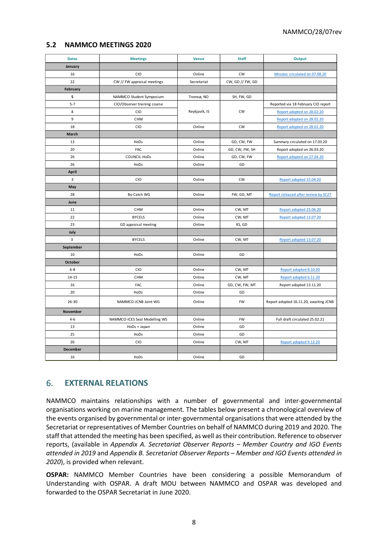## <span id="page-7-0"></span>**5.2 NAMMCO MEETINGS 2020**

| <b>Dates</b> | <b>Meetings</b>               | <b>Venue</b>  | <b>Staff</b>     | Output                                 |
|--------------|-------------------------------|---------------|------------------|----------------------------------------|
| January      |                               |               |                  |                                        |
| 16           | CIO                           | Online        | <b>CW</b>        | Minutes circulated on 07.08.20         |
| 22           | CW // FW appraisal meetings   | Secretariat   | CW, GD // FW, GD |                                        |
| February     |                               |               |                  |                                        |
| 5            | NAMMCO Student Symposium      | Tromsø, NO    | SH, FW, GD       |                                        |
| $5 - 7$      | CIO/Observer training course  |               |                  | Reported via 18 February CIO report    |
| 8            | <b>CIO</b>                    | Reykjavík, IS | <b>CW</b>        | Report adopted on 28.02.20             |
| 9            | <b>CHM</b>                    |               |                  | Report adopted on 28.02.20             |
| 18           | CIO                           | Online        | <b>CW</b>        | Report adopted on 28.02.20             |
| March        |                               |               |                  |                                        |
| 13           | HoDs                          | Online        | GD, CW, FW       | Summary circulated on 17.03.20         |
| 20           | <b>FAC</b>                    | Online        | GD, CW, FW, SH   | Report adopted on 26.03.20             |
| 26           | COUNCIL-HoDs                  | Online        | GD, CW, FW       | Report adopted on 27.04.20             |
| 26           | HoDs                          | Online        | GD               |                                        |
| <b>April</b> |                               |               |                  |                                        |
| 3            | CIO                           | Online        | CW               | Report adopted 15.04.20                |
| May          |                               |               |                  |                                        |
| 28           | By-Catch WG                   | Online        | FW, GD, MT       | Report released after review by SC27   |
| June         |                               |               |                  |                                        |
| 11           | <b>CHM</b>                    | Online        | CW, MT           | Report adopted 25.06.20                |
| 22           | <b>BYCELS</b>                 | Online        | CW, MT           | Report adopted 13.07.20                |
| 23           | GD appraisal meeting          | Online        | KS, GD           |                                        |
| July         |                               |               |                  |                                        |
| 3            | <b>BYCELS</b>                 | Online        | CW, MT           | Report adopted 13.07.20                |
| September    |                               |               |                  |                                        |
| 10           | HoDs                          | Online        | GD               |                                        |
| October      |                               |               |                  |                                        |
| $6 - 8$      | <b>CIO</b>                    | Online        | CW, MT           | Report adopted 8.10.20                 |
| $14 - 15$    | <b>CHM</b>                    | Online        | CW, MT           | Report adopted 6.11.20                 |
| 16           | FAC                           | Online        | GD, CW, FW, MT   | Report adopted 13.11.20                |
| 20           | HoDs                          | Online        | GD               |                                        |
| $26 - 30$    | NAMMCO-JCNB Joint WG          | Online        | <b>FW</b>        | Report adopted 16.11.20, awaiting JCNB |
| November     |                               |               |                  |                                        |
| $4 - 6$      | NAMMCO-ICES Seal Modelling WS | Online        | <b>FW</b>        | Full draft circulated 25.02.21         |
| 13           | HoDs + Japan                  | Online        | GD               |                                        |
| 25           | HoDs                          | Online        | GD               |                                        |
| 26           | CIO                           | Online        | CW, MT           | Report adopted 9.12.20                 |
| December     |                               |               |                  |                                        |
| 16           | HoDs                          | Online        | GD               |                                        |

## <span id="page-7-1"></span>6. **EXTERNAL RELATIONS**

NAMMCO maintains relationships with a number of governmental and inter-governmental organisations working on marine management. The tables below present a chronological overview of the events organised by governmental or inter-governmental organisations that were attended by the Secretariat or representatives of Member Countries on behalf of NAMMCO during 2019 and 2020. The staff that attended the meeting has been specified, as well astheir contribution. Reference to observer reports, (available in *Appendix A. [Secretariat Observer Reports](#page-19-0) – Member Country and IGO Events [attended in 2019](#page-19-0)* and *Appendix B. [Secretariat Observer Reports](#page-22-0) – Member and IGO Events attended in [2020](#page-22-0)*), is provided when relevant.

**OSPAR:** NAMMCO Member Countries have been considering a possible Memorandum of Understanding with OSPAR. A draft MOU between NAMMCO and OSPAR was developed and forwarded to the OSPAR Secretariat in June 2020.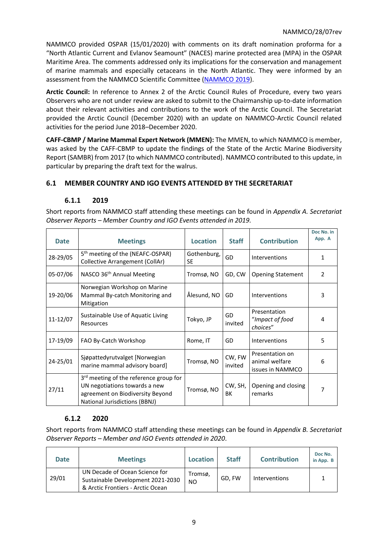NAMMCO provided OSPAR (15/01/2020) with comments on its draft nomination proforma for a "North Atlantic Current and Evlanov Seamount" (NACES) marine protected area (MPA) in the OSPAR Maritime Area. The comments addressed only its implications for the conservation and management of marine mammals and especially cetaceans in the North Atlantic. They were informed by an assessment from the NAMMCO Scientific Committee [\(NAMMCO 2019\)](https://nammco.no/wp-content/uploads/2017/01/final-report_sc26-2019_rev230120.pdf).

**Arctic Council:** In reference to Annex 2 of the Arctic Council Rules of Procedure, every two years Observers who are not under review are asked to submit to the Chairmanship up-to-date information about their relevant activities and contributions to the work of the Arctic Council. The Secretariat provided the Arctic Council (December 2020) with an update on NAMMCO-Arctic Council related activities for the period June 2018–December 2020.

**CAFF-CBMP / Marine Mammal Expert Network (MMEN):** The MMEN, to which NAMMCO is member, was asked by the CAFF-CBMP to update the findings of the State of the Arctic Marine Biodiversity Report (SAMBR) from 2017 (to which NAMMCO contributed). NAMMCO contributed to this update, in particular by preparing the draft text for the walrus.

## <span id="page-8-0"></span>**6.1 MEMBER COUNTRY AND IGO EVENTS ATTENDED BY THE SECRETARIAT**

## **6.1.1 2019**

Short reports from NAMMCO staff attending these meetings can be found in *[Appendix A.](#page-19-0) Secretariat Observer Reports – Member Country and [IGO Events attended in 2019.](#page-19-0)*

| <b>Date</b> | <b>Meetings</b>                                                                                                                                                 | <b>Location</b>          | <b>Staff</b>      | <b>Contribution</b>                                   | Doc No. in<br>App. A |
|-------------|-----------------------------------------------------------------------------------------------------------------------------------------------------------------|--------------------------|-------------------|-------------------------------------------------------|----------------------|
| 28-29/05    | 5 <sup>th</sup> meeting of the (NEAFC-OSPAR)<br>Collective Arrangement (CollAr)                                                                                 | Gothenburg,<br><b>SE</b> | GD                | Interventions                                         | 1                    |
| 05-07/06    | NASCO 36 <sup>th</sup> Annual Meeting                                                                                                                           | Tromsø, NO               | GD, CW            | <b>Opening Statement</b>                              | $\mathcal{P}$        |
| 19-20/06    | Norwegian Workshop on Marine<br>Mammal By-catch Monitoring and<br>Mitigation                                                                                    | Ålesund, NO              | GD                | Interventions                                         | 3                    |
| 11-12/07    | Sustainable Use of Aquatic Living<br>Resources                                                                                                                  | Tokyo, JP                | GD<br>invited     | Presentation<br>"Impact of food<br>choices"           | 4                    |
| 17-19/09    | FAO By-Catch Workshop                                                                                                                                           | Rome, IT                 | GD                | Interventions                                         | 5                    |
| 24-25/01    | Siøpattedyrutvalget [Norwegian]<br>marine mammal advisory board]                                                                                                | Tromsø, NO               | CW, FW<br>invited | Presentation on<br>animal welfare<br>issues in NAMMCO | 6                    |
| 27/11       | 3 <sup>rd</sup> meeting of the reference group for<br>UN negotiations towards a new<br>agreement on Biodiversity Beyond<br><b>National Jurisdictions (BBNJ)</b> | Tromsø, NO               | CW, SH,<br>BК     | Opening and closing<br>remarks                        | 7                    |

## **6.1.2 2020**

Short reports from NAMMCO staff attending these meetings can be found in *[Appendix B.](#page-22-0) Secretariat [Observer Reports](#page-22-0) – Member and IGO Events attended in 2020*.

| <b>Date</b> | <b>Meetings</b>                                                                                          | Location       | <b>Staff</b> | <b>Contribution</b> | Doc No.<br>in App. B |
|-------------|----------------------------------------------------------------------------------------------------------|----------------|--------------|---------------------|----------------------|
| 29/01       | UN Decade of Ocean Science for<br>Sustainable Development 2021-2030<br>& Arctic Frontiers - Arctic Ocean | Tromsø,<br>NO. | GD. FW       | Interventions       |                      |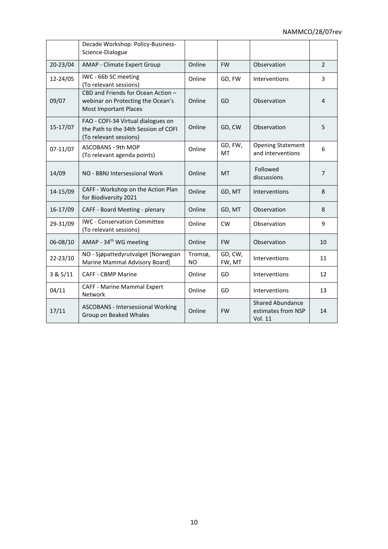|          | Decade Workshop: Policy-Business-<br>Science-Dialogue                                                   |                      |                   |                                                   |                |
|----------|---------------------------------------------------------------------------------------------------------|----------------------|-------------------|---------------------------------------------------|----------------|
| 20-23/04 | AMAP - Climate Expert Group                                                                             | Online               | <b>FW</b>         | Observation                                       | $\overline{2}$ |
| 12-24/05 | IWC - 66b SC meeting<br>(To relevant sessions)                                                          | Online               | GD, FW            | Interventions                                     | 3              |
| 09/07    | CBD and Friends for Ocean Action -<br>webinar on Protecting the Ocean's<br><b>Most Important Places</b> | Online               | GD                | Observation                                       | $\overline{4}$ |
| 15-17/07 | FAO - COFI-34 Virtual dialogues on<br>the Path to the 34th Session of COFI<br>(To relevant sessions)    | Online               | GD, CW            | Observation                                       | 5              |
| 07-11/07 | ASCOBANS - 9th MOP<br>(To relevant agenda points)                                                       | Online               | GD, FW,<br>MT     | <b>Opening Statement</b><br>and interventions     | 6              |
| 14/09    | NO - BBNJ Intersessional Work                                                                           | Online               | <b>MT</b>         | Followed<br>discussions                           | $\overline{7}$ |
| 14-15/09 | CAFF - Workshop on the Action Plan<br>for Biodiversity 2021                                             | Online               | GD, MT            | Interventions                                     | 8              |
| 16-17/09 | CAFF - Board Meeting - plenary                                                                          | Online               | GD, MT            | Observation                                       | 8              |
| 29-31/09 | <b>IWC - Conservation Committee</b><br>(To relevant sessions)                                           | Online               | <b>CW</b>         | Observation                                       | 9              |
| 06-08/10 | AMAP - 34 <sup>th</sup> WG meeting                                                                      | Online               | <b>FW</b>         | Observation                                       | 10             |
| 22-23/10 | NO - Sjøpattedyrutvalget [Norwegian<br>Marine Mammal Advisory Board]                                    | Tromsø,<br><b>NO</b> | GD, CW,<br>FW, MT | Interventions                                     | 11             |
| 3 & 5/11 | <b>CAFF - CBMP Marine</b>                                                                               | Online               | GD                | Interventions                                     | 12             |
| 04/11    | CAFF - Marine Mammal Expert<br>Network                                                                  | Online               | GD                | Interventions                                     | 13             |
| 17/11    | <b>ASCOBANS - Intersessional Working</b><br>Group on Beaked Whales                                      | Online               | <b>FW</b>         | Shared Abundance<br>estimates from NSP<br>Vol. 11 | 14             |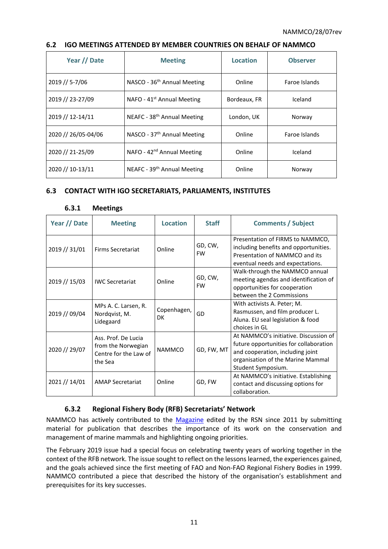| Year // Date        | <b>Meeting</b>                          | Location     | <b>Observer</b> |
|---------------------|-----------------------------------------|--------------|-----------------|
| 2019 // 5-7/06      | NASCO - 36 <sup>th</sup> Annual Meeting | Online       | Faroe Islands   |
| 2019 // 23-27/09    | NAFO - $41st$ Annual Meeting            | Bordeaux, FR | Iceland         |
| 2019 // 12-14/11    | NEAFC - 38 <sup>th</sup> Annual Meeting | London, UK   | Norway          |
| 2020 // 26/05-04/06 | NASCO - 37 <sup>th</sup> Annual Meeting | Online       | Faroe Islands   |
| 2020 // 21-25/09    | NAFO - 42 <sup>nd</sup> Annual Meeting  | Online       | Iceland         |
| 2020 // 10-13/11    | NEAFC - 39 <sup>th</sup> Annual Meeting | Online       | Norway          |

#### <span id="page-10-0"></span>**6.2 IGO MEETINGS ATTENDED BY MEMBER COUNTRIES ON BEHALF OF NAMMCO**

## <span id="page-10-1"></span>**6.3 CONTACT WITH IGO SECRETARIATS, PARLIAMENTS, INSTITUTES**

| Year // Date  | <b>Meeting</b>                                                                | <b>Location</b>          | <b>Staff</b>         | <b>Comments / Subject</b>                                                                                                                                                      |
|---------------|-------------------------------------------------------------------------------|--------------------------|----------------------|--------------------------------------------------------------------------------------------------------------------------------------------------------------------------------|
| 2019 // 31/01 | <b>Firms Secretariat</b>                                                      | Online                   | GD, CW,<br><b>FW</b> | Presentation of FIRMS to NAMMCO,<br>including benefits and opportunities.<br>Presentation of NAMMCO and its<br>eventual needs and expectations.                                |
| 2019 // 15/03 | <b>IWC Secretariat</b>                                                        | Online                   | GD, CW,<br><b>FW</b> | Walk-through the NAMMCO annual<br>meeting agendas and identification of<br>opportunities for cooperation<br>between the 2 Commissions                                          |
| 2019 // 09/04 | MPs A. C. Larsen, R.<br>Nordqvist, M.<br>Lidegaard                            | Copenhagen,<br><b>DK</b> | GD                   | With activists A. Peter; M.<br>Rasmussen, and film producer L.<br>Aluna. EU seal legislation & food<br>choices in GL                                                           |
| 2020 // 29/07 | Ass. Prof. De Lucia<br>from the Norwegian<br>Centre for the Law of<br>the Sea | <b>NAMMCO</b>            | GD, FW, MT           | At NAMMCO's initiative. Discussion of<br>future opportunities for collaboration<br>and cooperation, including joint<br>organisation of the Marine Mammal<br>Student Symposium. |
| 2021 // 14/01 | <b>AMAP Secretariat</b>                                                       | Online                   | GD, FW               | At NAMMCO's initiative. Establishing<br>contact and discussing options for<br>collaboration.                                                                                   |

#### **6.3.1 Meetings**

## **6.3.2 Regional Fishery Body (RFB) Secretariats' Network**

NAMMCO has actively contributed to the [Magazine](http://www.fao.org/fishery/rsn/newsletter/en) edited by the RSN since 2011 by submitting material for publication that describes the importance of its work on the conservation and management of marine mammals and highlighting ongoing priorities.

The February 2019 issue had a special focus on celebrating twenty years of working together in the context of the RFB network. The issue sought to reflect on the lessons learned, the experiences gained, and the goals achieved since the first meeting of FAO and Non-FAO Regional Fishery Bodies in 1999. NAMMCO contributed a piece that described the history of the organisation's establishment and prerequisites for its key successes.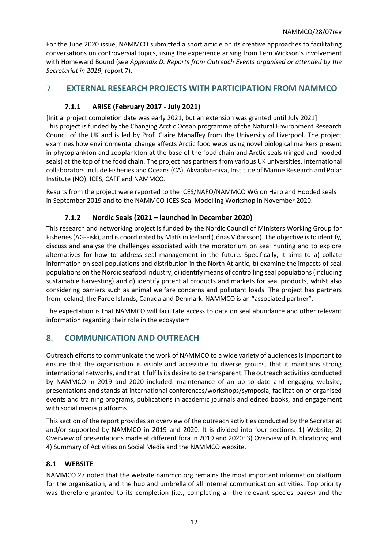For the June 2020 issue, NAMMCO submitted a short article on its creative approaches to facilitating conversations on controversial topics, using the experience arising from Fern Wickson's involvement with Homeward Bound (see *Appendix D. Reports [from Outreach Events organised or attended by the](#page-31-0)  [Secretariat in 2019](#page-31-0)*, report [7\)](#page-33-0).

## <span id="page-11-0"></span>7. **EXTERNAL RESEARCH PROJECTS WITH PARTICIPATION FROM NAMMCO**

## **7.1.1 ARISE (February 2017 - July 2021)**

[Initial project completion date was early 2021, but an extension was granted until July 2021] This project is funded by the Changing Arctic Ocean programme of the Natural Environment Research Council of the UK and is led by Prof. Claire Mahaffey from the University of Liverpool. The project examines how environmental change affects Arctic food webs using novel biological markers present in phytoplankton and zooplankton at the base of the food chain and Arctic seals (ringed and hooded seals) at the top of the food chain. The project has partners from various UK universities. International collaborators include Fisheries and Oceans (CA), Akvaplan-niva, Institute of Marine Research and Polar Institute (NO), ICES, CAFF and NAMMCO.

Results from the project were reported to the ICES/NAFO/NAMMCO WG on Harp and Hooded seals in September 2019 and to the NAMMCO-ICES Seal Modelling Workshop in November 2020.

## **7.1.2 Nordic Seals (2021 – launched in December 2020)**

This research and networking project is funded by the Nordic Council of Ministers Working Group for Fisheries (AG-Fisk), and is coordinated by Matís in Iceland (Jónas Viðarsson). The objective is to identify, discuss and analyse the challenges associated with the moratorium on seal hunting and to explore alternatives for how to address seal management in the future. Specifically, it aims to a) collate information on seal populations and distribution in the North Atlantic, b) examine the impacts of seal populations on the Nordic seafood industry, c) identify means of controlling seal populations (including sustainable harvesting) and d) identify potential products and markets for seal products, whilst also considering barriers such as animal welfare concerns and pollutant loads. The project has partners from Iceland, the Faroe Islands, Canada and Denmark. NAMMCO is an "associated partner".

The expectation is that NAMMCO will facilitate access to data on seal abundance and other relevant information regarding their role in the ecosystem.

## <span id="page-11-1"></span>8. **COMMUNICATION AND OUTREACH**

Outreach efforts to communicate the work of NAMMCO to a wide variety of audiences is important to ensure that the organisation is visible and accessible to diverse groups, that it maintains strong international networks, and that it fulfils its desire to be transparent. The outreach activities conducted by NAMMCO in 2019 and 2020 included: maintenance of an up to date and engaging website, presentations and stands at international conferences/workshops/symposia, facilitation of organised events and training programs, publications in academic journals and edited books, and engagement with social media platforms.

This section of the report provides an overview of the outreach activities conducted by the Secretariat and/or supported by NAMMCO in 2019 and 2020. It is divided into four sections: 1) Website, 2) Overview of presentations made at different fora in 2019 and 2020; 3) Overview of Publications; and 4) Summary of Activities on Social Media and the NAMMCO website.

## <span id="page-11-2"></span>**8.1 WEBSITE**

NAMMCO 27 noted that the website nammco.org remains the most important information platform for the organisation, and the hub and umbrella of all internal communication activities. Top priority was therefore granted to its completion (i.e., completing all the relevant species pages) and the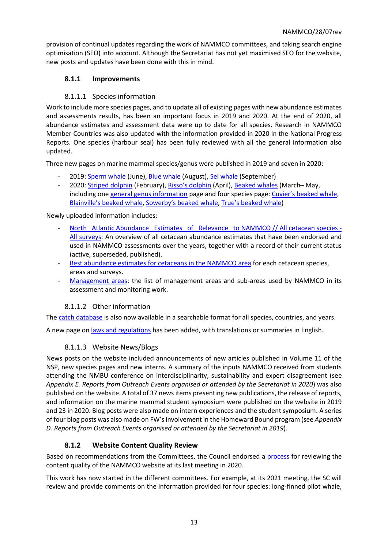provision of continual updates regarding the work of NAMMCO committees, and taking search engine optimisation (SEO) into account. Although the Secretariat has not yet maximised SEO for the website, new posts and updates have been done with this in mind.

## **8.1.1 Improvements**

## 8.1.1.1 Species information

Work to include more species pages, and to update all of existing pages with new abundance estimates and assessments results, has been an important focus in 2019 and 2020. At the end of 2020, all abundance estimates and assessment data were up to date for all species. Research in NAMMCO Member Countries was also updated with the information provided in 2020 in the National Progress Reports. One species (harbour seal) has been fully reviewed with all the general information also updated.

Three new pages on marine mammal species/genus were published in 2019 and seven in 2020:

- 2019[: Sperm whale](https://nammco.no/topics/sperm-whale/) (June), [Blue whale](https://nammco.no/topics/blue-whale/) (August)[, Sei whale](https://nammco.no/topics/sei-whale/) (September)
- 2020[: Striped dolphin](https://nammco.no/topics/striped-dolphin/) (February), [Risso's dolphin](https://nammco.no/topics/rissos-dolphin/) (April)[, Beaked whales](https://nammco.no/topics/beaked-whales/) (March– May, including on[e general genus information](https://nammco.no/topics/beaked-whales/) page and four species page: [Cuvier's beaked whale](https://nammco.no/topics/beaked-whales/#1566995552336-a000976d-9184), [Blainville's beaked whale](https://nammco.no/topics/beaked-whales/#1566995552492-ea2c705a-8a7d), [Sowerby's beaked whale](https://nammco.no/topics/beaked-whales/#1567001519476-cb59be8e-ca25), [True's beaked whale](https://nammco.no/topics/beaked-whales/#1590062840172-2fc8d2c8-1d65))

## Newly uploaded information includes:

- [North Atlantic Abundance Estimates of Relevance to NAMMCO // All cetacean species -](https://nammco.no/marinemammals/whales/) [All surveys:](https://nammco.no/marinemammals/whales/) An overview of all cetacean abundance estimates that have been endorsed and used in NAMMCO assessments over the years, together with a record of their current status (active, superseded, published).
- [Best abundance estimates for cetaceans](https://nammco.no/marinemammals/whales/) in the NAMMCO area for each cetacean species, areas and surveys.
- [Management areas:](https://nammco.no/marinemammals/whales/) the list of management areas and sub-areas used by NAMMCO in its assessment and monitoring work.

## 8.1.1.2 Other information

The [catch database](https://nammco.no/topics/catch-database/) is also now available in a searchable format for all species, countries, and years.

A new page o[n laws and regulations](https://nammco.no/topics/laws-and-regulations/) has been added, with translations or summaries in English.

## 8.1.1.3 Website News/Blogs

News posts on the website included announcements of new articles published in Volume 11 of the NSP, new species pages and new interns. A summary of the inputs NAMMCO received from students attending the NMBU conference on interdisciplinarity, sustainability and expert disagreement (see *Appendix E. Reports [from Outreach Events organised or attended by the Secretariat in 2020](#page-37-0)*) was also published on the website. A total of 37 news items presenting new publications, the release of reports, and information on the marine mammal student symposium were published on the website in 2019 and 23 in 2020. Blog posts were also made on intern experiences and the student symposium. A series of four blog posts was also made on FW's involvement in the Homeward Bound program (see *[Appendix](#page-31-0)  D. Reports [from Outreach Events organised or attended by the Secretariat in 2019](#page-31-0)*).

## **8.1.2 Website Content Quality Review**

Based on recommendations from the Committees, the Council endorsed a [process](https://nammco.no/topics/council-reports/) for reviewing the content quality of the NAMMCO website at its last meeting in 2020.

This work has now started in the different committees. For example, at its 2021 meeting, the SC will review and provide comments on the information provided for four species: long-finned pilot whale,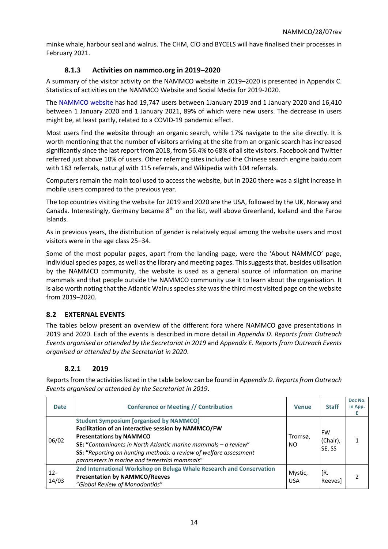minke whale, harbour seal and walrus. The CHM, CIO and BYCELS will have finalised their processes in February 2021.

## **8.1.3 Activities on nammco.org in 2019–2020**

A summary of the visitor activity on the NAMMCO website in 2019–2020 is presented i[n Appendix C.](#page-27-0) [Statistics of activities on the NAMMCO Website and Social Media for](#page-27-0) 2019-2020.

The [NAMMCO website](https://nammco.no/) has had 19,747 users between 1January 2019 and 1 January 2020 and 16,410 between 1 January 2020 and 1 January 2021, 89% of which were new users. The decrease in users might be, at least partly, related to a COVID-19 pandemic effect.

Most users find the website through an organic search, while 17% navigate to the site directly. It is worth mentioning that the number of visitors arriving at the site from an organic search has increased significantly since the last report from 2018, from 56.4% to 68% of all site visitors. Facebook and Twitter referred just above 10% of users. Other referring sites included the Chinese search engine baidu.com with 183 referrals, natur.gl with 115 referrals, and Wikipedia with 104 referrals.

Computers remain the main tool used to access the website, but in 2020 there was a slight increase in mobile users compared to the previous year.

The top countries visiting the website for 2019 and 2020 are the USA, followed by the UK, Norway and Canada. Interestingly, Germany became 8<sup>th</sup> on the list, well above Greenland, Iceland and the Faroe Islands.

As in previous years, the distribution of gender is relatively equal among the website users and most visitors were in the age class 25–34.

Some of the most popular pages, apart from the landing page, were the 'About NAMMCO' page, individual species pages, as well as the library and meeting pages. This suggests that, besides utilisation by the NAMMCO community, the website is used as a general source of information on marine mammals and that people outside the NAMMCO community use it to learn about the organisation. It is also worth noting that the Atlantic Walrus species site was the third most visited page on the website from 2019–2020.

## <span id="page-13-0"></span>**8.2 EXTERNAL EVENTS**

The tables below present an overview of the different fora where NAMMCO gave presentations in 2019 and 2020. Each of the events is described in more detail in *Appendix D. Reports [from Outreach](#page-31-0)  [Events organised or attended by the Secretariat in 2019](#page-31-0)* and *Appendix E. Reports [from Outreach Events](#page-37-0)  [organised or attended by the Secretariat in 2020](#page-37-0)*.

## **8.2.1 2019**

Reports from the activities listed in the table below can be found in *Appendix D. [Reportsfrom Outreach](#page-31-0)  [Events organised or attended by the Secretariat in 2019](#page-31-0)*.

| <b>Date</b>     | <b>Conference or Meeting // Contribution</b>                                                                                                                                                                                                                                                                                             | <b>Venue</b>          | <b>Staff</b>                    | Doc No.<br>in App. |
|-----------------|------------------------------------------------------------------------------------------------------------------------------------------------------------------------------------------------------------------------------------------------------------------------------------------------------------------------------------------|-----------------------|---------------------------------|--------------------|
| 06/02           | <b>Student Symposium [organised by NAMMCO]</b><br>Facilitation of an interactive session by NAMMCO/FW<br><b>Presentations by NAMMCO</b><br><b>SE:</b> "Contaminants in North Atlantic marine mammals $-$ a review"<br>SS: "Reporting on hunting methods: a review of welfare assessment<br>parameters in marine and terrestrial mammals" | Tromsø,<br>NO.        | <b>FW</b><br>(Chair),<br>SE, SS |                    |
| $12 -$<br>14/03 | 2nd International Workshop on Beluga Whale Research and Conservation<br><b>Presentation by NAMMCO/Reeves</b><br>"Global Review of Monodontids"                                                                                                                                                                                           | Mystic,<br><b>USA</b> | ſR.<br>Reevesl                  | 2                  |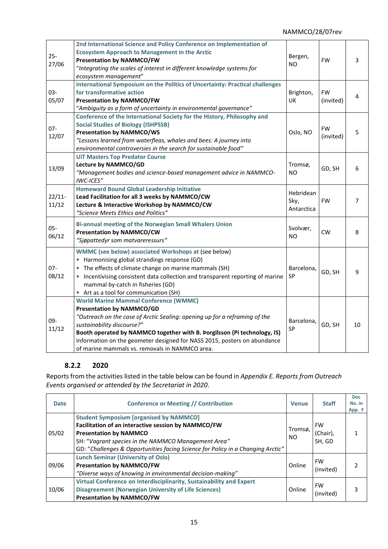## NAMMCO/28/07rev

|           | 2nd International Science and Policy Conference on Implementation of           |                    |           |    |
|-----------|--------------------------------------------------------------------------------|--------------------|-----------|----|
| $25 -$    | <b>Ecosystem Approach to Management in the Arctic</b>                          | Bergen,            |           |    |
| 27/06     | <b>Presentation by NAMMCO/FW</b>                                               | N <sub>O</sub>     | <b>FW</b> | 3  |
|           | "Integrating the scales of interest in different knowledge systems for         |                    |           |    |
|           | ecosystem management"                                                          |                    |           |    |
|           | International Symposium on the Politics of Uncertainty: Practical challenges   |                    |           |    |
| $03 -$    | for transformative action                                                      | Brighton,          | <b>FW</b> | 4  |
| 05/07     | <b>Presentation by NAMMCO/FW</b>                                               | UK                 | (invited) |    |
|           | "Ambiguity as a form of uncertainty in environmental governance"               |                    |           |    |
|           | Conference of the International Society for the History, Philosophy and        |                    |           |    |
| $07 -$    | <b>Social Studies of Biology (ISHPSSB)</b>                                     |                    | <b>FW</b> |    |
| 12/07     | <b>Presentation by NAMMCO/WS</b>                                               | Oslo, NO           | (invited) | 5  |
|           | "Lessons learned from waterfleas, whales and bees: A journey into              |                    |           |    |
|           | environmental controversies in the search for sustainable food"                |                    |           |    |
|           | <b>UiT Masters Top Predator Course</b>                                         |                    |           |    |
| 13/09     | Lecture by NAMMCO/GD                                                           | Tromsø,            | GD, SH    | 6  |
|           | "Management bodies and science-based management advice in NAMMCO-              | NO.                |           |    |
|           | IWC-ICES"                                                                      |                    |           |    |
|           | <b>Homeward Bound Global Leadership Initiative</b>                             | Hebridean          |           |    |
| $22/11$ - | Lead Facilitation for all 3 weeks by NAMMCO/CW                                 |                    | <b>FW</b> | 7  |
| 11/12     | Lecture & Interactive Workshop by NAMMCO/CW                                    | Sky,<br>Antarctica |           |    |
|           | "Science Meets Ethics and Politics"                                            |                    |           |    |
| $05 -$    | Bi-annual meeting of the Norwegian Small Whalers Union                         |                    |           |    |
|           | <b>Presentation by NAMMCO/CW</b>                                               | Svolvær,           | <b>CW</b> | 8  |
| 06/12     | "Siøpattedyr som matvareressurs"                                               | <b>NO</b>          |           |    |
|           | <b>WMMC (see below) associated Workshops at (see below)</b>                    |                    |           |    |
|           | * Harmonising global strandings response (GD)                                  |                    |           |    |
| $07 -$    | The effects of climate change on marine mammals (SH)<br>$\ast$                 | Barcelona,         |           | 9  |
| 08/12     | * Incentivising consistent data collection and transparent reporting of marine | SP                 | GD, SH    |    |
|           | mammal by-catch in fisheries (GD)                                              |                    |           |    |
|           | * Art as a tool for communication (SH)                                         |                    |           |    |
|           | <b>World Marine Mammal Conference (WMMC)</b>                                   |                    |           |    |
|           | <b>Presentation by NAMMCO/GD</b>                                               |                    |           |    |
| 09-       | "Outreach on the case of Arctic Sealing: opening up for a reframing of the     |                    |           |    |
|           | sustainability discourse?"                                                     | Barcelona,         | GD, SH    | 10 |
| 11/12     | Booth operated by NAMMCO together with B. Þorgilsson (Pi technology, IS)       | SP                 |           |    |
|           | Information on the geometer designed for NASS 2015, posters on abundance       |                    |           |    |
|           | of marine mammals vs. removals in NAMMCO area.                                 |                    |           |    |

## **8.2.2 2020**

Reports from the activities listed in the table below can be found in *Appendix E. Reports [from Outreach](#page-37-0)  [Events organised or attended by the Secretariat in 2020](#page-37-0)*.

| <b>Date</b> | <b>Conference or Meeting // Contribution</b>                                                                                                                                                                                                                                     | <b>Venue</b>   | <b>Staff</b>                    | <b>Doc</b><br>No. in<br>App. F |
|-------------|----------------------------------------------------------------------------------------------------------------------------------------------------------------------------------------------------------------------------------------------------------------------------------|----------------|---------------------------------|--------------------------------|
| 05/02       | <b>Student Symposium [organised by NAMMCO]</b><br>Facilitation of an interactive session by NAMMCO/FW<br><b>Presentation by NAMMCO</b><br>SH: "Vagrant species in the NAMMCO Management Area"<br>GD: "Challenges & Opportunities facing Science for Policy in a Changing Arctic" | Tromsø,<br>NO. | <b>FW</b><br>(Chair),<br>SH, GD |                                |
| 09/06       | <b>Lunch Seminar (University of Oslo)</b><br><b>Presentation by NAMMCO/FW</b><br>"Diverse ways of knowing in environmental decision-making"                                                                                                                                      | Online         | <b>FW</b><br>(invited)          |                                |
| 10/06       | Virtual Conference on Interdisciplinarity, Sustainability and Expert<br><b>Disagreement (Norwegian University of Life Sciences)</b><br><b>Presentation by NAMMCO/FW</b>                                                                                                          | Online         | <b>FW</b><br>(invited)          |                                |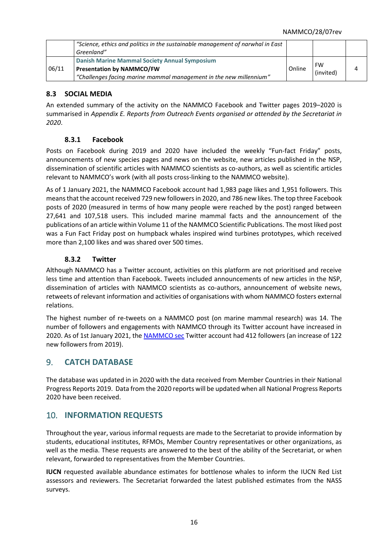|       | "Science, ethics and politics in the sustainable management of narwhal in East<br>Greenland" |        |           |  |
|-------|----------------------------------------------------------------------------------------------|--------|-----------|--|
|       | Danish Marine Mammal Society Annual Symposium                                                |        | FW        |  |
| 06/11 | Presentation by NAMMCO/FW                                                                    | Online | (invited) |  |
|       | "Challenges facing marine mammal management in the new millennium"                           |        |           |  |

## <span id="page-15-0"></span>**8.3 SOCIAL MEDIA**

An extended summary of the activity on the NAMMCO Facebook and Twitter pages 2019–2020 is summarised in *Appendix E. Reports [from Outreach Events organised or attended by the Secretariat in](#page-37-0)  [2020](#page-37-0)*.

## **8.3.1 Facebook**

Posts on Facebook during 2019 and 2020 have included the weekly "Fun-fact Friday" posts, announcements of new species pages and news on the website, new articles published in the NSP, dissemination of scientific articles with NAMMCO scientists as co-authors, as well as scientific articles relevant to NAMMCO's work (with all posts cross-linking to the NAMMCO website).

As of 1 January 2021, the NAMMCO Facebook account had 1,983 page likes and 1,951 followers. This means that the account received 729 new followers in 2020, and 786 new likes. The top three Facebook posts of 2020 (measured in terms of how many people were reached by the post) ranged between 27,641 and 107,518 users. This included marine mammal facts and the announcement of the publications of an article within Volume 11 of the NAMMCO Scientific Publications. The most liked post was a Fun Fact Friday post on humpback whales inspired wind turbines prototypes, which received more than 2,100 likes and was shared over 500 times.

## **8.3.2 Twitter**

Although NAMMCO has a Twitter account, activities on this platform are not prioritised and receive less time and attention than Facebook. Tweets included announcements of new articles in the NSP, dissemination of articles with NAMMCO scientists as co-authors, announcement of website news, retweets of relevant information and activities of organisations with whom NAMMCO fosters external relations.

The highest number of re-tweets on a NAMMCO post (on marine mammal research) was 14. The number of followers and engagements with NAMMCO through its Twitter account have increased in 2020. As of 1st January 2021, th[e NAMMCO](https://twitter.com/NAMMCO_sec) sec Twitter account had 412 followers (an increase of 122 new followers from 2019).

## <span id="page-15-1"></span>9. **CATCH DATABASE**

The database was updated in in 2020 with the data received from Member Countries in their National Progress Reports 2019. Data from the 2020 reports will be updated when all National Progress Reports 2020 have been received.

## <span id="page-15-2"></span>10. **INFORMATION REQUESTS**

Throughout the year, various informal requests are made to the Secretariat to provide information by students, educational institutes, RFMOs, Member Country representatives or other organizations, as well as the media. These requests are answered to the best of the ability of the Secretariat, or when relevant, forwarded to representatives from the Member Countries.

**IUCN** requested available abundance estimates for bottlenose whales to inform the IUCN Red List assessors and reviewers. The Secretariat forwarded the latest published estimates from the NASS surveys.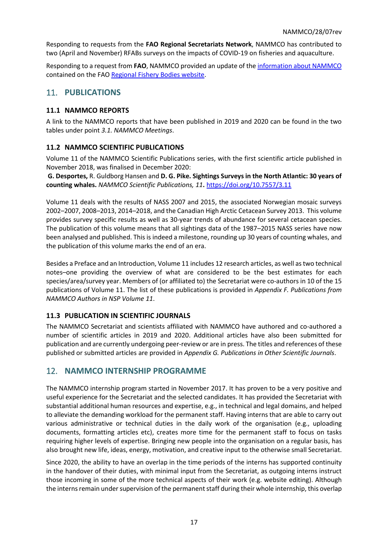Responding to requests from the **FAO Regional Secretariats Network**, NAMMCO has contributed to two (April and November) RFABs surveys on the impacts of COVID-19 on fisheries and aquaculture.

Responding to a request from **FAO**, NAMMCO provided an update of th[e information about NAMMCO](http://www.fao.org/fishery/rfb/nammco/en) contained on the FAO [Regional Fishery Bodies website.](http://www.fao.org/fishery/rfb/en)

# <span id="page-16-0"></span>11. **PUBLICATIONS**

## <span id="page-16-1"></span>**11.1 NAMMCO REPORTS**

A link to the NAMMCO reports that have been published in 2019 and 2020 can be found in the two tables under point *3.1. NAMMCO Meetings*.

## <span id="page-16-2"></span>**11.2 NAMMCO SCIENTIFIC PUBLICATIONS**

Volume 11 of the NAMMCO Scientific Publications series, with the first scientific article published in November 2018, was finalised in December 2020:

**G. Desportes,** R. Guldborg Hansen and **D. G. Pike. Sightings Surveys in the North Atlantic: 30 years of counting whales.** *NAMMCO Scientific Publications, 11***.** <https://doi.org/10.7557/3.11>

Volume 11 deals with the results of NASS 2007 and 2015, the associated Norwegian mosaic surveys 2002–2007, 2008–2013, 2014–2018, and the Canadian High Arctic Cetacean Survey 2013. This volume provides survey specific results as well as 30-year trends of abundance for several cetacean species. The publication of this volume means that all sightings data of the 1987–2015 NASS series have now been analysed and published. This isindeed a milestone, rounding up 30 years of counting whales, and the publication of this volume marks the end of an era.

Besides a Preface and an Introduction, Volume 11 includes 12 research articles, as well as two technical notes–one providing the overview of what are considered to be the best estimates for each species/area/survey year. Members of (or affiliated to) the Secretariat were co-authors in 10 of the 15 publications of Volume 11. The list of these publications is provided in *[Appendix F. Publications](#page-40-0) from [NAMMCO Authors](#page-40-0) in NSP Volume 11*.

## <span id="page-16-3"></span>**11.3 PUBLICATION IN SCIENTIFIC JOURNALS**

The NAMMCO Secretariat and scientists affiliated with NAMMCO have authored and co-authored a number of scientific articles in 2019 and 2020. Additional articles have also been submitted for publication and are currently undergoing peer-review or are in press. The titles and references of these published or submitted articles are provided in *Appendix G. Publications [in Other Scientific Journals](#page-41-0)*.

## <span id="page-16-4"></span>12. **NAMMCO INTERNSHIP PROGRAMME**

The NAMMCO internship program started in November 2017. It has proven to be a very positive and useful experience for the Secretariat and the selected candidates. It has provided the Secretariat with substantial additional human resources and expertise, e.g., in technical and legal domains, and helped to alleviate the demanding workload for the permanent staff. Having interns that are able to carry out various administrative or technical duties in the daily work of the organisation (e.g., uploading documents, formatting articles etc), creates more time for the permanent staff to focus on tasks requiring higher levels of expertise. Bringing new people into the organisation on a regular basis, has also brought new life, ideas, energy, motivation, and creative input to the otherwise small Secretariat.

Since 2020, the ability to have an overlap in the time periods of the interns has supported continuity in the handover of their duties, with minimal input from the Secretariat, as outgoing interns instruct those incoming in some of the more technical aspects of their work (e.g. website editing). Although the interns remain under supervision of the permanent staff during their whole internship, this overlap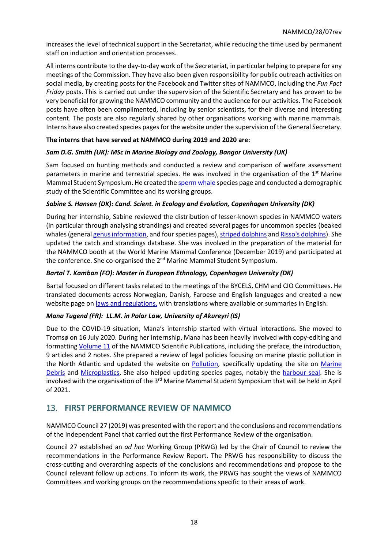increases the level of technical support in the Secretariat, while reducing the time used by permanent staff on induction and orientation processes.

All interns contribute to the day-to-day work of the Secretariat, in particular helping to prepare for any meetings of the Commission. They have also been given responsibility for public outreach activities on social media, by creating posts for the Facebook and Twitter sites of NAMMCO, including the *Fun Fact Friday* posts. This is carried out under the supervision of the Scientific Secretary and has proven to be very beneficial for growing the NAMMCO community and the audience for our activities. The Facebook posts have often been complimented, including by senior scientists, for their diverse and interesting content. The posts are also regularly shared by other organisations working with marine mammals. Interns have also created species pages forthe website under the supervision of the General Secretary.

## **The interns that have served at NAMMCO during 2019 and 2020 are:**

## *Sam D.G. Smith (UK): MSc in Marine Biology and Zoology, Bangor University (UK)*

Sam focused on hunting methods and conducted a review and comparison of welfare assessment parameters in marine and terrestrial species. He was involved in the organisation of the  $1<sup>st</sup>$  Marine Mammal Student Symposium. He created th[e sperm whale](https://nammco.no/topics/sperm-whale/) species page and conducted a demographic study of the Scientific Committee and its working groups.

## *Sabine S. Hansen (DK): Cand. Scient. in Ecology and Evolution, Copenhagen University (DK)*

During her internship, Sabine reviewed the distribution of lesser-known species in NAMMCO waters (in particular through analysing strandings) and created several pages for uncommon species (beaked whales (genera[l genus information,](https://nammco.no/topics/beaked-whales/) and four species pages)[, striped dolphins](https://nammco.no/topics/striped-dolphin/) an[d Risso's dolphins\)](https://nammco.no/topics/rissos-dolphin/). She updated the catch and strandings database. She was involved in the preparation of the material for the NAMMCO booth at the World Marine Mammal Conference (December 2019) and participated at the conference. She co-organised the 2<sup>nd</sup> Marine Mammal Student Symposium.

#### *Bartal T. Kamban (FO): Master in European Ethnology, Copenhagen University (DK)*

Bartal focused on different tasks related to the meetings of the BYCELS, CHM and CIO Committees. He translated documents across Norwegian, Danish, Faroese and English languages and created a new website page o[n laws and regulations,](https://nammco.no/topics/laws-and-regulations/) with translations where available or summaries in English.

#### *Mana Tugend (FR): LL.M. in Polar Law, University of Akureyri (IS)*

Due to the COVID-19 situation, Mana's internship started with virtual interactions. She moved to Tromsø on 16 July 2020. During her internship, Mana has been heavily involved with copy-editing and formatting [Volume 11](https://septentrio.uit.no/index.php/NAMMCOSP/issue/view/NSP11) of the NAMMCO Scientific Publications, including the preface, the introduction, 9 articles and 2 notes. She prepared a review of legal policies focusing on marine plastic pollution in the North Atlantic and updated the website on [Pollution,](https://nammco.no/topics/the-soft-killers/) specifically updating the site on Marine [Debris](https://nammco.no/topics/marine-debris/) and [Microplastics.](https://nammco.no/topics/microplastics/) She also helped updating species pages, notably the [harbour seal.](https://nammco.no/topics/harbour-seal/) She is involved with the organisation of the 3<sup>rd</sup> Marine Mammal Student Symposium that will be held in April of 2021.

## <span id="page-17-0"></span>13. **FIRST PERFORMANCE REVIEW OF NAMMCO**

NAMMCO Council 27 (2019) was presented with the report and the conclusions and recommendations of the Independent Panel that carried out the first Performance Review of the organisation.

Council 27 established an *ad hoc* Working Group (PRWG) led by the Chair of Council to review the recommendations in the Performance Review Report. The PRWG has responsibility to discuss the cross-cutting and overarching aspects of the conclusions and recommendations and propose to the Council relevant follow up actions. To inform its work, the PRWG has sought the views of NAMMCO Committees and working groups on the recommendations specific to their areas of work.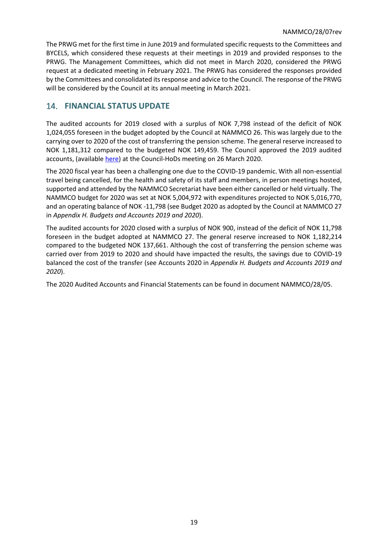The PRWG met for the first time in June 2019 and formulated specific requests to the Committees and BYCELS, which considered these requests at their meetings in 2019 and provided responses to the PRWG. The Management Committees, which did not meet in March 2020, considered the PRWG request at a dedicated meeting in February 2021. The PRWG has considered the responses provided by the Committees and consolidated its response and advice to the Council. The response of the PRWG will be considered by the Council at its annual meeting in March 2021.

## <span id="page-18-0"></span>14. **FINANCIAL STATUS UPDATE**

The audited accounts for 2019 closed with a surplus of NOK 7,798 instead of the deficit of NOK 1,024,055 foreseen in the budget adopted by the Council at NAMMCO 26. This was largely due to the carrying over to 2020 of the cost of transferring the pension scheme. The general reserve increased to NOK 1,181,312 compared to the budgeted NOK 149,459. The Council approved the 2019 audited accounts, (availabl[e here\)](https://nammco.no/wp-content/uploads/2020/11/report-council-hod-2020_final_revmt19112020.pdf) at the Council-HoDs meeting on 26 March 2020.

The 2020 fiscal year has been a challenging one due to the COVID-19 pandemic. With all non-essential travel being cancelled, for the health and safety of its staff and members, in person meetings hosted, supported and attended by the NAMMCO Secretariat have been either cancelled or held virtually. The NAMMCO budget for 2020 was set at NOK 5,004,972 with expenditures projected to NOK 5,016,770, and an operating balance of NOK -11,798 (see Budget 2020 as adopted by the Council at NAMMCO 27 in *[Appendix H. Budgets](#page-42-0) and Accounts 2019 and 2020*).

The audited accounts for 2020 closed with a surplus of NOK 900, instead of the deficit of NOK 11,798 foreseen in the budget adopted at NAMMCO 27. The general reserve increased to NOK 1,182,214 compared to the budgeted NOK 137,661. Although the cost of transferring the pension scheme was carried over from 2019 to 2020 and should have impacted the results, the savings due to COVID-19 balanced the cost of the transfer (see Accounts 2020 in *[Appendix H. Budgets](#page-42-0) and Accounts 2019 and [2020](#page-42-0)*).

The 2020 Audited Accounts and Financial Statements can be found in document NAMMCO/28/05.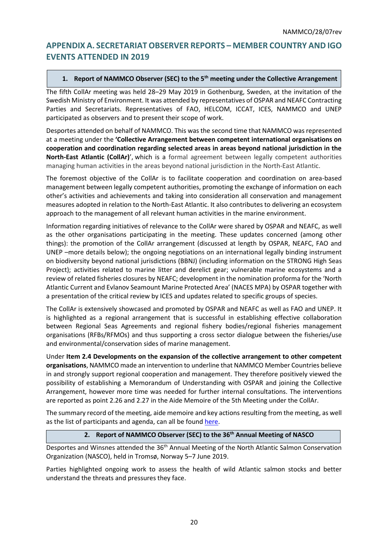# <span id="page-19-0"></span>**APPENDIX A. SECRETARIAT OBSERVER REPORTS – MEMBER COUNTRY AND IGO EVENTS ATTENDED IN 2019**

## **1. Report of NAMMCO Observer (SEC) to the 5th meeting under the Collective Arrangement**

The fifth CollAr meeting was held 28–29 May 2019 in Gothenburg, Sweden, at the invitation of the Swedish Ministry of Environment. It was attended by representatives of OSPAR and NEAFC Contracting Parties and Secretariats. Representatives of FAO, HELCOM, ICCAT, ICES, NAMMCO and UNEP participated as observers and to present their scope of work.

Desportes attended on behalf of NAMMCO. This was the second time that NAMMCO was represented at a meeting under the **'Collective Arrangement between competent international organisations on cooperation and coordination regarding selected areas in areas beyond national jurisdiction in the North-East Atlantic (CollAr)**', which is a formal agreement between legally competent authorities managing human activities in the areas beyond national jurisdiction in the North-East Atlantic.

The foremost objective of the CollAr is to facilitate cooperation and coordination on area-based management between legally competent authorities, promoting the exchange of information on each other's activities and achievements and taking into consideration all conservation and management measures adopted in relation to the North-East Atlantic. It also contributes to delivering an ecosystem approach to the management of all relevant human activities in the marine environment.

Information regarding initiatives of relevance to the CollAr were shared by OSPAR and NEAFC, as well as the other organisations participating in the meeting. These updates concerned (among other things): the promotion of the CollAr arrangement (discussed at length by OSPAR, NEAFC, FAO and UNEP –more details below); the ongoing negotiations on an international legally binding instrument on biodiversity beyond national jurisdictions (BBNJ) (including information on the STRONG High Seas Project); activities related to marine litter and derelict gear; vulnerable marine ecosystems and a review of related fisheries closures by NEAFC; development in the nomination proforma for the 'North Atlantic Current and Evlanov Seamount Marine Protected Area' (NACES MPA) by OSPAR together with a presentation of the critical review by ICES and updates related to specific groups of species.

The CollAr is extensively showcased and promoted by OSPAR and NEAFC as well as FAO and UNEP. It is highlighted as a regional arrangement that is successful in establishing effective collaboration between Regional Seas Agreements and regional fishery bodies/regional fisheries management organisations (RFBs/RFMOs) and thus supporting a cross sector dialogue between the fisheries/use and environmental/conservation sides of marine management.

Under **Item 2.4 Developments on the expansion of the collective arrangement to other competent organisations**, NAMMCO made an intervention to underline that NAMMCO Member Countries believe in and strongly support regional cooperation and management. They therefore positively viewed the possibility of establishing a Memorandum of Understanding with OSPAR and joining the Collective Arrangement, however more time was needed for further internal consultations. The interventions are reported as point 2.26 and 2.27 in the Aide Memoire of the 5th Meeting under the CollAr.

The summary record of the meeting, aide memoire and key actions resulting from the meeting, as well as the list of participants and agenda, can all be found [here.](https://www.ospar.org/meetings/archive/collective-arrangement)

#### **2. Report of NAMMCO Observer (SEC) to the 36th Annual Meeting of NASCO**

Desportes and Winsnes attended the 36<sup>th</sup> Annual Meeting of the North Atlantic Salmon Conservation Organization (NASCO), held in Tromsø, Norway 5–7 June 2019.

Parties highlighted ongoing work to assess the health of wild Atlantic salmon stocks and better understand the threats and pressures they face.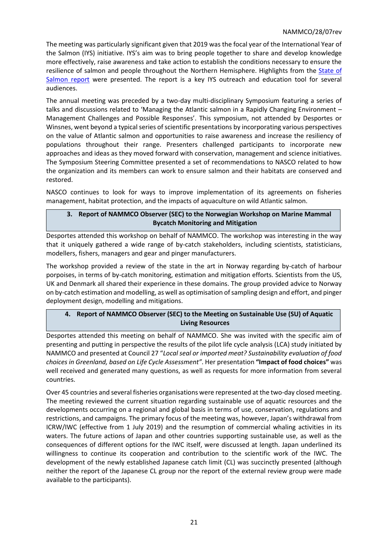The meeting was particularly significant given that 2019 was the focal year of the International Year of the Salmon (IYS) initiative. IYS's aim was to bring people together to share and develop knowledge more effectively, raise awareness and take action to establish the conditions necessary to ensure the resilience of salmon and people throughout the Northern Hemisphere. Highlights from the [State of](http://passthrough.fw-notify.net/download/723673/http:/www.nasco.int/pdf/iys/SoS-final-online.pdf)  [Salmon report](http://passthrough.fw-notify.net/download/723673/http:/www.nasco.int/pdf/iys/SoS-final-online.pdf) were presented. The report is a key IYS outreach and education tool for several audiences.

The annual meeting was preceded by a two-day multi-disciplinary Symposium featuring a series of talks and discussions related to 'Managing the Atlantic salmon in a Rapidly Changing Environment – Management Challenges and Possible Responses'. This symposium, not attended by Desportes or Winsnes, went beyond a typical series of scientific presentations by incorporating various perspectives on the value of Atlantic salmon and opportunities to raise awareness and increase the resiliency of populations throughout their range. Presenters challenged participants to incorporate new approaches and ideas as they moved forward with conservation, management and science initiatives. The Symposium Steering Committee presented a set of recommendations to NASCO related to how the organization and its members can work to ensure salmon and their habitats are conserved and restored.

NASCO continues to look for ways to improve implementation of its agreements on fisheries management, habitat protection, and the impacts of aquaculture on wild Atlantic salmon.

## **3. Report of NAMMCO Observer (SEC) to the Norwegian Workshop on Marine Mammal Bycatch Monitoring and Mitigation**

Desportes attended this workshop on behalf of NAMMCO. The workshop was interesting in the way that it uniquely gathered a wide range of by-catch stakeholders, including scientists, statisticians, modellers, fishers, managers and gear and pinger manufacturers.

The workshop provided a review of the state in the art in Norway regarding by-catch of harbour porpoises, in terms of by-catch monitoring, estimation and mitigation efforts. Scientists from the US, UK and Denmark all shared their experience in these domains. The group provided advice to Norway on by-catch estimation and modelling, as well as optimisation of sampling design and effort, and pinger deployment design, modelling and mitigations.

## **4. Report of NAMMCO Observer (SEC) to the Meeting on Sustainable Use (SU) of Aquatic Living Resources**

Desportes attended this meeting on behalf of NAMMCO. She was invited with the specific aim of presenting and putting in perspective the results of the pilot life cycle analysis (LCA) study initiated by NAMMCO and presented at Council 27 "*Local seal or imported meat? Sustainability evaluation of food choices in Greenland, based on Life Cycle Assessment"*. Her presentation **"Impact of food choices"** was well received and generated many questions, as well as requests for more information from several countries.

Over 45 countries and several fisheries organisations were represented at the two-day closed meeting. The meeting reviewed the current situation regarding sustainable use of aquatic resources and the developments occurring on a regional and global basis in terms of use, conservation, regulations and restrictions, and campaigns. The primary focus of the meeting was, however, Japan's withdrawal from ICRW/IWC (effective from 1 July 2019) and the resumption of commercial whaling activities in its waters. The future actions of Japan and other countries supporting sustainable use, as well as the consequences of different options for the IWC itself, were discussed at length. Japan underlined its willingness to continue its cooperation and contribution to the scientific work of the IWC. The development of the newly established Japanese catch limit (CL) was succinctly presented (although neither the report of the Japanese CL group nor the report of the external review group were made available to the participants).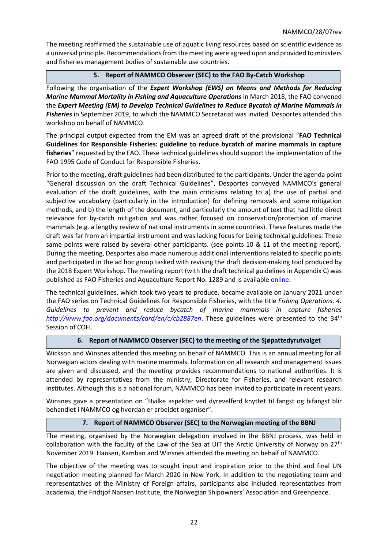The meeting reaffirmed the sustainable use of aquatic living resources based on scientific evidence as a universal principle. Recommendations from the meeting were agreed upon and provided to ministers and fisheries management bodies of sustainable use countries.

## **5. Report of NAMMCO Observer (SEC) to the FAO By-Catch Workshop**

Following the organisation of the *Expert Workshop (EWS) on Means and Methods for Reducing Marine Mammal Mortality in Fishing and Aquaculture Operations* in March 2018, the FAO convened the *Expert Meeting (EM) to Develop Technical Guidelines to Reduce Bycatch of Marine Mammals in Fisheries* in September 2019, to which the NAMMCO Secretariat was invited. Desportes attended this workshop on behalf of NAMMCO.

The principal output expected from the EM was an agreed draft of the provisional "**FAO Technical Guidelines for Responsible Fisheries: guideline to reduce bycatch of marine mammals in capture fisheries**" requested by the FAO. These technical guidelines should support the implementation of the FAO 1995 Code of Conduct for Responsible Fisheries.

Prior to the meeting, draft guidelines had been distributed to the participants. Under the agenda point "General discussion on the draft Technical Guidelines", Desportes conveyed NAMMCO's general evaluation of the draft guidelines, with the main criticisms relating to a) the use of partial and subjective vocabulary (particularly in the introduction) for defining removals and some mitigation methods, and b) the length of the document, and particularly the amount of text that had little direct relevance for by-catch mitigation and was rather focused on conservation/protection of marine mammals (e.g. a lengthy review of national instruments in some countries). These features made the draft was far from an impartial instrument and was lacking focus for being technical guidelines. These same points were raised by several other participants. (see points 10 & 11 of the meeting report). During the meeting, Desportes also made numerous additional interventions related to specific points and participated in the ad hoc group tasked with revising the draft decision-making tool produced by the 2018 Expert Workshop. The meeting report (with the draft technical guidelines in Appendix C) was published as FAO Fisheries and Aquaculture Report No. 1289 and is availabl[e online.](http://www.fao.org/3/ca7620en/ca7620en.pdf)

The technical guidelines, which took two years to produce, became available on January 2021 under the FAO series on Technical Guidelines for Responsible Fisheries, with the title *Fishing Operations. 4. Guidelines to prevent and reduce bycatch of marine mammals in capture fisheries <http://www.fao.org/documents/card/en/c/cb2887en>*. These guidelines were presented to the 34<sup>th</sup> Session of COFI.

#### **6. Report of NAMMCO Observer (SEC) to the meeting of the Sjøpattedyrutvalget**

Wickson and Winsnes attended this meeting on behalf of NAMMCO. This is an annual meeting for all Norwegian actors dealing with marine mammals. Information on all research and management issues are given and discussed, and the meeting provides recommendations to national authorities. It is attended by representatives from the ministry, Directorate for Fisheries, and relevant research institutes. Although this is a national forum, NAMMCO has been invited to participate in recent years.

Winsnes gave a presentation on "Hvilke aspekter ved dyrevelferd knyttet til fangst og bifangst blir behandlet i NAMMCO og hvordan er arbeidet organiser".

#### **7. Report of NAMMCO Observer (SEC) to the Norwegian meeting of the BBNJ**

The meeting, organised by the Norwegian delegation involved in the BBNJ process, was held in collaboration with the faculty of the Law of the Sea at UiT the Arctic University of Norway on  $27<sup>th</sup>$ November 2019. Hansen, Kamban and Winsnes attended the meeting on behalf of NAMMCO.

The objective of the meeting was to sought input and inspiration prior to the third and final UN negotiation meeting planned for March 2020 in New York. In addition to the negotiating team and representatives of the Ministry of Foreign affairs, participants also included representatives from academia, the Fridtjof Nansen Institute, the Norwegian Shipowners' Association and Greenpeace.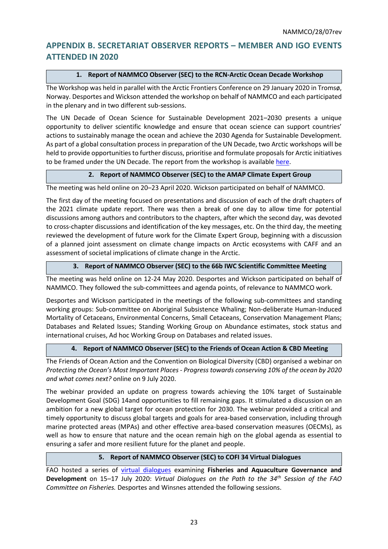# <span id="page-22-0"></span>**APPENDIX B. SECRETARIAT OBSERVER REPORTS – MEMBER AND IGO EVENTS ATTENDED IN 2020**

## **1. Report of NAMMCO Observer (SEC) to the RCN-Arctic Ocean Decade Workshop**

The Workshop was held in parallel with the Arctic Frontiers Conference on 29 January 2020 in Tromsø, Norway. Desportes and Wickson attended the workshop on behalf of NAMMCO and each participated in the plenary and in two different sub-sessions.

The UN Decade of Ocean Science for Sustainable Development 2021–2030 presents a unique opportunity to deliver scientific knowledge and ensure that ocean science can support countries' actions to sustainably manage the ocean and achieve the 2030 Agenda for Sustainable Development. As part of a global consultation process in preparation of the UN Decade, two Arctic workshops will be held to provide opportunities to further discuss, prioritise and formulate proposals for Arctic initiatives to be framed under the UN Decade. The report from the workshop is available [here.](https://oceandecade.org/resource/90/Summary-Report-of-the-Arctic-Ocean-Decade-Workshop)

## **2. Report of NAMMCO Observer (SEC) to the AMAP Climate Expert Group**

The meeting was held online on 20–23 April 2020. Wickson participated on behalf of NAMMCO.

The first day of the meeting focused on presentations and discussion of each of the draft chapters of the 2021 climate update report. There was then a break of one day to allow time for potential discussions among authors and contributors to the chapters, after which the second day, was devoted to cross-chapter discussions and identification of the key messages, etc. On the third day, the meeting reviewed the development of future work for the Climate Expert Group, beginning with a discussion of a planned joint assessment on climate change impacts on Arctic ecosystems with CAFF and an assessment of societal implications of climate change in the Arctic.

## **3. Report of NAMMCO Observer (SEC) to the 66b IWC Scientific Committee Meeting**

The meeting was held online on 12-24 May 2020. Desportes and Wickson participated on behalf of NAMMCO. They followed the sub-committees and agenda points, of relevance to NAMMCO work.

Desportes and Wickson participated in the meetings of the following sub-committees and standing working groups: Sub-committee on Aboriginal Subsistence Whaling; Non-deliberate Human-Induced Mortality of Cetaceans, Environmental Concerns, Small Cetaceans, Conservation Management Plans; Databases and Related Issues; Standing Working Group on Abundance estimates, stock status and international cruises, Ad hoc Working Group on Databases and related issues.

## **4. Report of NAMMCO Observer (SEC) to the Friends of Ocean Action & CBD Meeting**

The Friends of Ocean Action and the Convention on Biological Diversity (CBD) organised a webinar on *Protecting the Ocean's Most Important Places - Progress towards conserving 10% of the ocean by 2020 and what comes next?* online on 9 July 2020.

The webinar provided an update on progress towards achieving the 10% target of Sustainable Development Goal (SDG) 14and opportunities to fill remaining gaps. It stimulated a discussion on an ambition for a new global target for ocean protection for 2030. The webinar provided a critical and timely opportunity to discuss global targets and goals for area-based conservation, including through marine protected areas (MPAs) and other effective area-based conservation measures (OECMs), as well as how to ensure that nature and the ocean remain high on the global agenda as essential to ensuring a safer and more resilient future for the planet and people.

#### **5. Report of NAMMCO Observer (SEC) to COFI 34 Virtual Dialogues**

FAO hosted a series of [virtual dialogues](http://www.fao.org/about/meetings/cofi/cofi34-virtual-dialogues/en/) examining **Fisheries and Aquaculture Governance and Development** on 15–17 July 2020: *Virtual Dialogues on the Path to the 34th Session of the FAO Committee on Fisheries.* Desportes and Winsnes attended the following sessions.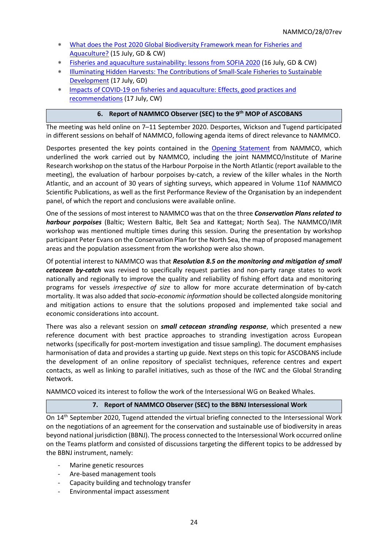- [What does the Post 2020 Global Biodiversity Framework mean for Fisheries and](http://www.fao.org/3/ca9808en/ca9808en.pdf)  [Aquaculture?](http://www.fao.org/3/ca9808en/ca9808en.pdf) (15 July, GD & CW)
- [Fisheries and aquaculture sustainability: lessons from SOFIA 2020](http://www.fao.org/3/ca9811en/ca9811en.pdf) (16 July, GD & CW)
- [Illuminating Hidden Harvests: The Contributions of Small-Scale Fisheries to Sustainable](http://www.fao.org/3/ca9806en/ca9806en.pdf)  [Development](http://www.fao.org/3/ca9806en/ca9806en.pdf) (17 July, GD)
- [Impacts of COVID-19 on fisheries and aquaculture: Effects, good practices and](http://www.fao.org/3/ca9810en/ca9810en.pdf)  [recommendations](http://www.fao.org/3/ca9810en/ca9810en.pdf) (17 July, CW)

## **6. Report of NAMMCO Observer (SEC) to the 9 th MOP of ASCOBANS**

The meeting was held online on 7–11 September 2020. Desportes, Wickson and Tugend participated in different sessions on behalf of NAMMCO, following agenda items of direct relevance to NAMMCO.

Desportes presented the key points contained in the [Opening Statement](https://www.ascobans.org/sites/default/files/document/ascobans_mop9_inf2b.ii_opening-statements-observers-nammco_1.pdf) from NAMMCO, which underlined the work carried out by NAMMCO, including the joint NAMMCO/Institute of Marine Research workshop on the status of the Harbour Porpoise in the North Atlantic (report available to the meeting), the evaluation of harbour porpoises by-catch, a review of the killer whales in the North Atlantic, and an account of 30 years of sighting surveys, which appeared in Volume 11of NAMMCO Scientific Publications, as well as the first Performance Review of the Organisation by an independent panel, of which the report and conclusions were available online.

One of the sessions of most interest to NAMMCO was that on the three *Conservation Plans related to harbour porpoises* (Baltic; Western Baltic, Belt Sea and Kattegat; North Sea). The NAMMCO/IMR workshop was mentioned multiple times during this session. During the presentation by workshop participant Peter Evans on the Conservation Plan for the North Sea, the map of proposed management areas and the population assessment from the workshop were also shown.

Of potential interest to NAMMCO was that *Resolution 8.5 on the monitoring and mitigation of small cetacean by-catch* was revised to specifically request parties and non-party range states to work nationally and regionally to improve the quality and reliability of fishing effort data and monitoring programs for vessels *irrespective of size* to allow for more accurate determination of by-catch mortality. It was also added that *socio-economic information* should be collected alongside monitoring and mitigation actions to ensure that the solutions proposed and implemented take social and economic considerations into account.

There was also a relevant session on *small cetacean stranding response*, which presented a new reference document with best practice approaches to stranding investigation across European networks (specifically for post-mortem investigation and tissue sampling). The document emphasises harmonisation of data and provides a starting up guide. Next steps on this topic for ASCOBANS include the development of an online repository of specialist techniques, reference centres and expert contacts, as well as linking to parallel initiatives, such as those of the IWC and the Global Stranding Network.

NAMMCO voiced its interest to follow the work of the Intersessional WG on Beaked Whales.

#### **7. Report of NAMMCO Observer (SEC) to the BBNJ Intersessional Work**

On 14th September 2020, Tugend attended the virtual briefing connected to the Intersessional Work on the negotiations of an agreement for the conservation and sustainable use of biodiversity in areas beyond national jurisdiction (BBNJ). The process connected to the Intersessional Work occurred online on the Teams platform and consisted of discussions targeting the different topics to be addressed by the BBNJ instrument, namely:

- Marine genetic resources
- Are-based management tools
- Capacity building and technology transfer
- Environmental impact assessment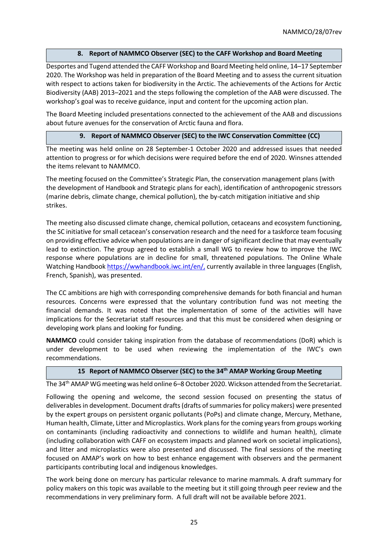## **8. Report of NAMMCO Observer (SEC) to the CAFF Workshop and Board Meeting**

Desportes and Tugend attended the CAFF Workshop and Board Meeting held online, 14–17 September 2020. The Workshop was held in preparation of the Board Meeting and to assess the current situation with respect to actions taken for biodiversity in the Arctic. The achievements of the Actions for Arctic Biodiversity (AAB) 2013–2021 and the steps following the completion of the AAB were discussed. The workshop's goal was to receive guidance, input and content for the upcoming action plan.

The Board Meeting included presentations connected to the achievement of the AAB and discussions about future avenues for the conservation of Arctic fauna and flora.

## **9. Report of NAMMCO Observer (SEC) to the IWC Conservation Committee (CC)**

The meeting was held online on 28 September-1 October 2020 and addressed issues that needed attention to progress or for which decisions were required before the end of 2020. Winsnes attended the items relevant to NAMMCO.

The meeting focused on the Committee's Strategic Plan, the conservation management plans (with the development of Handbook and Strategic plans for each), identification of anthropogenic stressors (marine debris, climate change, chemical pollution), the by-catch mitigation initiative and ship strikes.

The meeting also discussed climate change, chemical pollution, cetaceans and ecosystem functioning, the SC initiative for small cetacean's conservation research and the need for a taskforce team focusing on providing effective advice when populations are in danger of significant decline that may eventually lead to extinction. The group agreed to establish a small WG to review how to improve the IWC response where populations are in decline for small, threatened populations. The Online Whale Watching Handboo[k https://wwhandbook.iwc.int/en/,](https://wwhandbook.iwc.int/en/) currently available in three languages (English, French, Spanish), was presented.

The CC ambitions are high with corresponding comprehensive demands for both financial and human resources. Concerns were expressed that the voluntary contribution fund was not meeting the financial demands. It was noted that the implementation of some of the activities will have implications for the Secretariat staff resources and that this must be considered when designing or developing work plans and looking for funding.

**NAMMCO** could consider taking inspiration from the database of recommendations (DoR) which is under development to be used when reviewing the implementation of the IWC's own recommendations.

#### **15 Report of NAMMCO Observer (SEC) to the 34th AMAP Working Group Meeting**

The 34th AMAP WG meeting was held online 6–8 October 2020. Wickson attended from the Secretariat.

Following the opening and welcome, the second session focused on presenting the status of deliverables in development. Document drafts (drafts of summaries for policy makers) were presented by the expert groups on persistent organic pollutants (PoPs) and climate change, Mercury, Methane, Human health, Climate, Litter and Microplastics. Work plans for the coming years from groups working on contaminants (including radioactivity and connections to wildlife and human health), climate (including collaboration with CAFF on ecosystem impacts and planned work on societal implications), and litter and microplastics were also presented and discussed. The final sessions of the meeting focused on AMAP's work on how to best enhance engagement with observers and the permanent participants contributing local and indigenous knowledges.

The work being done on mercury has particular relevance to marine mammals. A draft summary for policy makers on this topic was available to the meeting but it still going through peer review and the recommendations in very preliminary form. A full draft will not be available before 2021.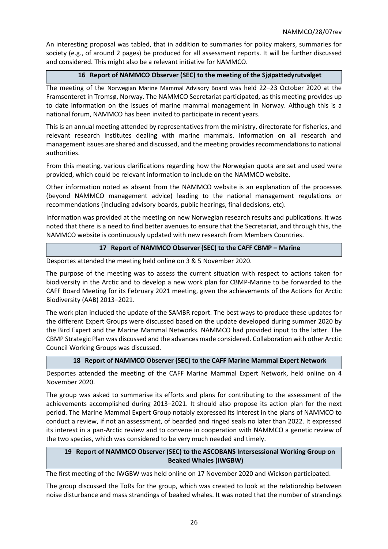An interesting proposal was tabled, that in addition to summaries for policy makers, summaries for society (e.g., of around 2 pages) be produced for all assessment reports. It will be further discussed and considered. This might also be a relevant initiative for NAMMCO.

## **16 Report of NAMMCO Observer (SEC) to the meeting of the Sjøpattedyrutvalget**

The meeting of the Norwegian Marine Mammal Advisory Board was held 22–23 October 2020 at the Framsenteret in Tromsø, Norway. The NAMMCO Secretariat participated, as this meeting provides up to date information on the issues of marine mammal management in Norway. Although this is a national forum, NAMMCO has been invited to participate in recent years.

This is an annual meeting attended by representatives from the ministry, directorate for fisheries, and relevant research institutes dealing with marine mammals. Information on all research and management issues are shared and discussed, and the meeting provides recommendations to national authorities.

From this meeting, various clarifications regarding how the Norwegian quota are set and used were provided, which could be relevant information to include on the NAMMCO website.

Other information noted as absent from the NAMMCO website is an explanation of the processes (beyond NAMMCO management advice) leading to the national management regulations or recommendations (including advisory boards, public hearings, final decisions, etc).

Information was provided at the meeting on new Norwegian research results and publications. It was noted that there is a need to find better avenues to ensure that the Secretariat, and through this, the NAMMCO website is continuously updated with new research from Members Countries.

#### **17 Report of NAMMCO Observer (SEC) to the CAFF CBMP – Marine**

Desportes attended the meeting held online on 3 & 5 November 2020.

The purpose of the meeting was to assess the current situation with respect to actions taken for biodiversity in the Arctic and to develop a new work plan for CBMP-Marine to be forwarded to the CAFF Board Meeting for its February 2021 meeting, given the achievements of the Actions for Arctic Biodiversity (AAB) 2013–2021.

The work plan included the update of the SAMBR report. The best ways to produce these updates for the different Expert Groups were discussed based on the update developed during summer 2020 by the Bird Expert and the Marine Mammal Networks. NAMMCO had provided input to the latter. The CBMP Strategic Plan was discussed and the advances made considered. Collaboration with other Arctic Council Working Groups was discussed.

#### **18 Report of NAMMCO Observer (SEC) to the CAFF Marine Mammal Expert Network**

Desportes attended the meeting of the CAFF Marine Mammal Expert Network, held online on 4 November 2020.

The group was asked to summarise its efforts and plans for contributing to the assessment of the achievements accomplished during 2013–2021. It should also propose its action plan for the next period. The Marine Mammal Expert Group notably expressed its interest in the plans of NAMMCO to conduct a review, if not an assessment, of bearded and ringed seals no later than 2022. It expressed its interest in a pan-Arctic review and to convene in cooperation with NAMMCO a genetic review of the two species, which was considered to be very much needed and timely.

## **19 Report of NAMMCO Observer (SEC) to the ASCOBANS Intersessional Working Group on Beaked Whales (IWGBW)**

The first meeting of the IWGBW was held online on 17 November 2020 and Wickson participated.

The group discussed the ToRs for the group, which was created to look at the relationship between noise disturbance and mass strandings of beaked whales. It was noted that the number of strandings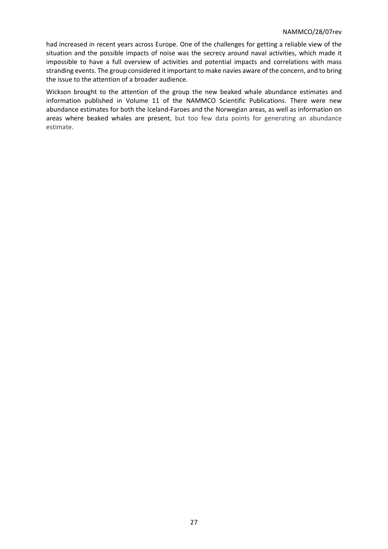#### NAMMCO/28/07rev

had increased in recent years across Europe. One of the challenges for getting a reliable view of the situation and the possible impacts of noise was the secrecy around naval activities, which made it impossible to have a full overview of activities and potential impacts and correlations with mass stranding events. The group considered it important to make navies aware of the concern, and to bring the issue to the attention of a broader audience.

Wickson brought to the attention of the group the new beaked whale abundance estimates and information published in Volume 11 of the NAMMCO Scientific Publications. There were new abundance estimates for both the Iceland-Faroes and the Norwegian areas, as well as information on areas where beaked whales are present, but too few data points for generating an abundance estimate.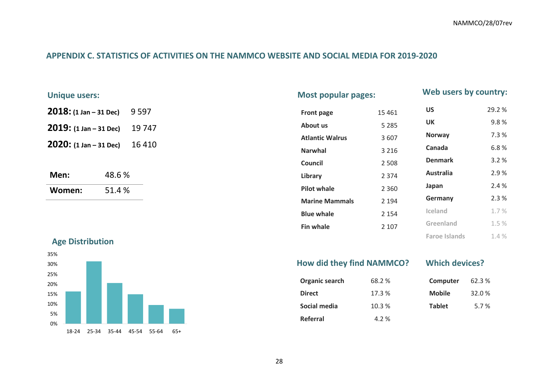**Greenland** 1.5 % **Faroe Islands** 1.4 %

## **APPENDIX C. STATISTICS OF ACTIVITIES ON THE NAMMCO WEBSITE AND SOCIAL MEDIA FOR 2019-2020**

| <b>Unique users:</b>                |         |        | <b>Most popular pages:</b> |         |                  |       |
|-------------------------------------|---------|--------|----------------------------|---------|------------------|-------|
| $2018: (1 Jan - 31 Dec)$            | 9 5 9 7 |        | Front page                 | 15 4 61 | US               | 29.2% |
| $2019: (1 Jan - 31 Dec)$            |         | 19 747 | About us                   | 5 2 8 5 | UK               | 9.8%  |
| $2020: (1 Jan - 31 Dec)$<br>16 4 10 |         |        | <b>Atlantic Walrus</b>     | 3 607   | <b>Norway</b>    | 7.3%  |
|                                     |         |        | <b>Narwhal</b>             | 3 2 1 6 | Canada           | 6.8%  |
|                                     |         |        | Council                    | 2 5 0 8 | <b>Denmark</b>   | 3.2%  |
| Men:                                | 48.6%   |        | Library                    | 2 3 7 4 | <b>Australia</b> | 2.9%  |
| Women:                              | 51.4%   |        | <b>Pilot whale</b>         | 2 3 6 0 | Japan            | 2.4 % |
|                                     |         |        | <b>Marine Mammals</b>      | 2 1 9 4 | Germany          | 2.3%  |
|                                     |         |        | <b>Blue whale</b>          | 2 1 5 4 | Iceland          | 1.7%  |

<span id="page-27-0"></span>**Age Distribution**



| How did they find NAMMCO? | <b>Which devices?</b> |               |        |
|---------------------------|-----------------------|---------------|--------|
| Organic search            | 68.2 %                | Computer      | 62.3 % |
| <b>Direct</b>             | 17.3 %                | <b>Mobile</b> | 32.0%  |
| Social media              | 10.3%                 | <b>Tablet</b> | 5.7%   |
| Referral                  | 4.2 %                 |               |        |

**Fin whale** 2 107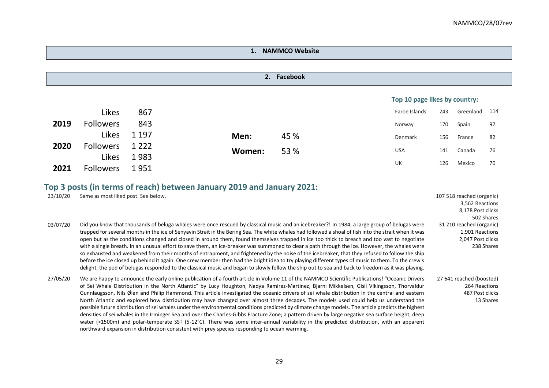## **1. NAMMCO Website**

|      |                  |         |        |      | Top 10 page likes by country: |     |           |     |
|------|------------------|---------|--------|------|-------------------------------|-----|-----------|-----|
|      | Likes            | 867     |        |      | Faroe Islands                 | 243 | Greenland | 114 |
| 2019 | <b>Followers</b> | 843     |        |      | Norway                        | 170 | Spain     | 97  |
|      | Likes            | 1 1 9 7 | Men:   | 45 % | Denmark                       | 156 | France    | 82  |
| 2020 | <b>Followers</b> | 1 2 2 2 | Women: | 53 % | <b>USA</b>                    | 141 | Canada    | 76  |
|      | Likes            | 1983    |        |      | UK                            | 126 | Mexico    | 70  |
| 2021 | <b>Followers</b> | 1951    |        |      |                               |     |           |     |

# **Top 3 posts (in terms of reach) between January 2019 and January 2021:**

| 23/10/20 | Same as most liked post. See below.                                                                                                                   | 107 518 reached (organic) |
|----------|-------------------------------------------------------------------------------------------------------------------------------------------------------|---------------------------|
|          |                                                                                                                                                       | 3,562 Reactions           |
|          |                                                                                                                                                       | 8,178 Post clicks         |
|          |                                                                                                                                                       | 502 Shares                |
| 03/07/20 | Did you know that thousands of beluga whales were once rescued by classical music and an icebreaker?! In 1984, a large group of belugas were          | 31 210 reached (organic)  |
|          | trapped for several months in the ice of Senyavin Strait in the Bering Sea. The white whales had followed a shoal of fish into the strait when it was | 1,901 Reactions           |
|          | open but as the conditions changed and closed in around them, found themselves trapped in ice too thick to breach and too vast to negotiate           | 2,047 Post clicks         |
|          | with a single breath. In an unusual effort to save them, an ice-breaker was summoned to clear a path through the ice. However, the whales were        | 238 Shares                |
|          | so exhausted and weakened from their months of entrapment, and frightened by the noise of the icebreaker, that they refused to follow the ship        |                           |
|          | before the ice closed up behind it again. One crew member then had the bright idea to try playing different types of music to them. To the crew's     |                           |
|          | delight, the pod of belugas responded to the classical music and began to slowly follow the ship out to sea and back to freedom as it was playing.    |                           |
| 27/05/20 | We are happy to announce the early online publication of a fourth article in Volume 11 of the NAMMCO Scientific Publications! "Oceanic Drivers        | 27 641 reached (boosted)  |
|          | of Sei Whale Distribution in the North Atlantic" by Lucy Houghton, Nadya Ramirez-Martinez, Biarni Mikkelsen, Gísli Víkingsson, Thorvaldur             | 264 Reactions             |
|          | Gunnlaugsson, Nils Øien and Philip Hammond. This article investigated the oceanic drivers of sei whale distribution in the central and eastern        | 487 Post clicks           |
|          | North Atlantic and explored how distribution may have changed over almost three decades. The models used could help us understand the                 | 13 Shares                 |
|          | possible future distribution of sei whales under the environmental conditions predicted by climate change models. The article predicts the highest    |                           |
|          | densities of sei whales in the Irminger Sea and over the Charles-Gibbs Fracture Zone; a pattern driven by large negative sea surface height, deep     |                           |
|          | water (>1500m) and polar-temperate SST (5-12 $^{\circ}$ C). There was some inter-annual variability in the predicted distribution, with an apparent   |                           |
|          | northward expansion in distribution consistent with prey species responding to ocean warming.                                                         |                           |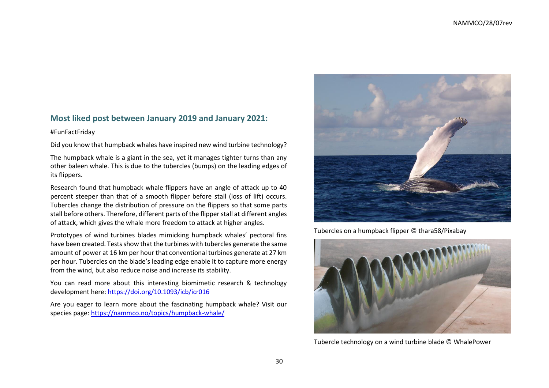## **Most liked post between January 2019 and January 2021:**

#### #FunFactFriday

Did you know that humpback whales have inspired new wind turbine technology?

The humpback whale is a giant in the sea, yet it manages tighter turns than any other baleen whale. This is due to the tubercles (bumps) on the leading edges of its flippers.

Research found that humpback whale flippers have an angle of attack up to 40 percent steeper than that of a smooth flipper before stall (loss of lift) occurs. Tubercles change the distribution of pressure on the flippers so that some parts stall before others. Therefore, different parts of the flipper stall at different angles of attack, which gives the whale more freedom to attack at higher angles.

Prototypes of wind turbines blades mimicking humpback whales' pectoral fins have been created. Tests show that the turbines with tubercles generate the same amount of power at 16 km per hour that conventional turbines generate at 27 km per hour. Tubercles on the blade's leading edge enable it to capture more energy from the wind, but also reduce noise and increase its stability.

You can read more about this interesting biomimetic research & technology development here:<https://doi.org/10.1093/icb/icr016>

Are you eager to learn more about the fascinating humpback whale? Visit our species page:<https://nammco.no/topics/humpback-whale/>



Tubercles on a humpback flipper © thara58/Pixabay



Tubercle technology on a wind turbine blade © WhalePower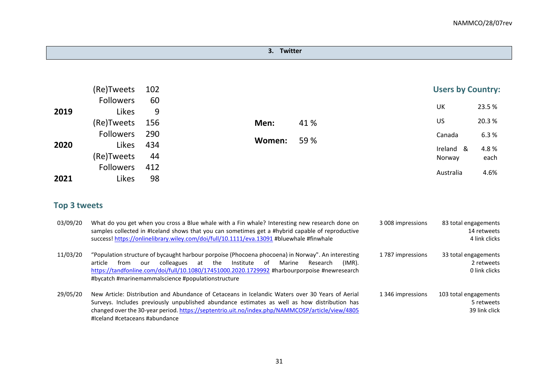## **3. Twitter**

|      | (Re)Tweets       | 102 |        |      | <b>Users by Country:</b> |       |
|------|------------------|-----|--------|------|--------------------------|-------|
|      | <b>Followers</b> | 60  |        |      |                          |       |
| 2019 | Likes            | 9   |        |      | UK                       | 23.5% |
|      | (Re)Tweets       | 156 | Men:   | 41 % | US                       | 20.3% |
|      | <b>Followers</b> | 290 |        |      | Canada                   | 6.3%  |
| 2020 | Likes            | 434 | Women: | 59 % | Ireland &                | 4.8%  |
|      | (Re)Tweets       | 44  |        |      | Norway                   | each  |
|      | <b>Followers</b> | 412 |        |      |                          |       |
| 2021 | Likes            | 98  |        |      | Australia                | 4.6%  |

# **Top 3 tweets**

| 03/09/20 | What do you get when you cross a Blue whale with a Fin whale? Interesting new research done on<br>samples collected in #Iceland shows that you can sometimes get a #hybrid capable of reproductive<br>success! https://onlinelibrary.wiley.com/doi/full/10.1111/eva.13091 #bluewhale #finwhale                                                                  | 3008 impressions | 83 total engagements<br>14 retweets<br>4 link clicks |  |
|----------|-----------------------------------------------------------------------------------------------------------------------------------------------------------------------------------------------------------------------------------------------------------------------------------------------------------------------------------------------------------------|------------------|------------------------------------------------------|--|
| 11/03/20 | "Population structure of bycaught harbour porpoise (Phocoena phocoena) in Norway". An interesting<br>Institute<br>colleagues<br>at the<br>of<br>Marine<br>Research<br>article<br>$(IMR)$ .<br>from<br>our<br>https://tandfonline.com/doi/full/10.1080/17451000.2020.1729992 #harbourporpoise #newresearch<br>#bycatch #marinemammalscience #populationstructure | 1787 impressions | 33 total engagements<br>2 retweets<br>0 link clicks  |  |
| 29/05/20 | New Article: Distribution and Abundance of Cetaceans in Icelandic Waters over 30 Years of Aerial<br>Surveys. Includes previously unpublished abundance estimates as well as how distribution has<br>changed over the 30-year period. https://septentrio.uit.no/index.php/NAMMCOSP/article/view/4805<br>#Iceland #cetaceans #abundance                           | 1346 impressions | 103 total engagements<br>5 retweets<br>39 link click |  |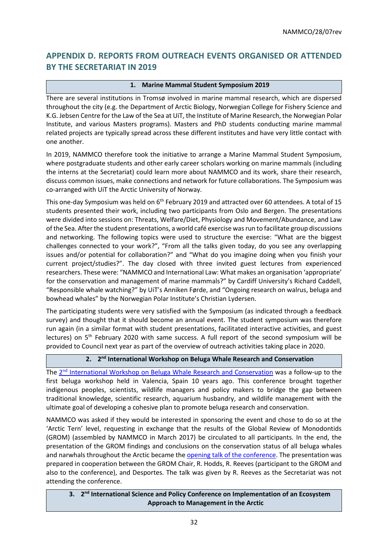# <span id="page-31-0"></span>**APPENDIX D. REPORTS FROM OUTREACH EVENTS ORGANISED OR ATTENDED BY THE SECRETARIAT IN 2019**

## **1. Marine Mammal Student Symposium 2019**

There are several institutions in Tromsø involved in marine mammal research, which are dispersed throughout the city (e.g. the Department of Arctic Biology, Norwegian College for Fishery Science and K.G. Jebsen Centre for the Law of the Sea at UiT, the Institute of Marine Research, the Norwegian Polar Institute, and various Masters programs). Masters and PhD students conducting marine mammal related projects are typically spread across these different institutes and have very little contact with one another.

In 2019, NAMMCO therefore took the initiative to arrange a Marine Mammal Student Symposium, where postgraduate students and other early career scholars working on marine mammals (including the interns at the Secretariat) could learn more about NAMMCO and its work, share their research, discuss common issues, make connections and network for future collaborations. The Symposium was co-arranged with UiT the Arctic University of Norway.

This one-day Symposium was held on 6<sup>th</sup> February 2019 and attracted over 60 attendees. A total of 15 students presented their work, including two participants from Oslo and Bergen. The presentations were divided into sessions on: Threats, Welfare/Diet, Physiology and Movement/Abundance, and Law of the Sea. After the student presentations, a world café exercise was run to facilitate group discussions and networking. The following topics were used to structure the exercise: "What are the biggest challenges connected to your work?", "From all the talks given today, do you see any overlapping issues and/or potential for collaboration?" and "What do you imagine doing when you finish your current project/studies?". The day closed with three invited guest lectures from experienced researchers. These were: "NAMMCO and International Law: What makes an organisation 'appropriate' for the conservation and management of marine mammals?" by Cardiff University's Richard Caddell, "Responsible whale watching?" by UiT's Anniken Førde, and "Ongoing research on walrus, beluga and bowhead whales" by the Norwegian Polar Institute's Christian Lydersen.

The participating students were very satisfied with the Symposium (as indicated through a feedback survey) and thought that it should become an annual event. The student symposium was therefore run again (in a similar format with student presentations, facilitated interactive activities, and guest lectures) on 5<sup>th</sup> February 2020 with same success. A full report of the second symposium will be provided to Council next year as part of the overview of outreach activities taking place in 2020.

#### **2. 2 nd International Workshop on Beluga Whale Research and Conservation**

The 2<sup>nd</sup> [International Workshop on Beluga Whale Research and Conservation](https://www.mysticaquarium.org/belugaconference/) was a follow-up to the first beluga workshop held in Valencia, Spain 10 years ago. This conference brought together indigenous peoples, scientists, wildlife managers and policy makers to bridge the gap between traditional knowledge, scientific research, aquarium husbandry, and wildlife management with the ultimate goal of developing a cohesive plan to promote beluga research and conservation.

NAMMCO was asked if they would be interested in sponsoring the event and chose to do so at the 'Arctic Tern' level, requesting in exchange that the results of the Global Review of Monodontids (GROM) (assembled by NAMMCO in March 2017) be circulated to all participants. In the end, the presentation of the GROM findings and conclusions on the conservation status of all beluga whales and narwhals throughout the Arctic became th[e opening talk of the conference.](https://www.mysticaquarium.org/2019/02/22/mystic-aquarium-announces-keynote-for-international-beluga-conference/) The presentation was prepared in cooperation between the GROM Chair, R. Hodds, R. Reeves (participant to the GROM and also to the conference), and Desportes. The talk was given by R. Reeves as the Secretariat was not attending the conference.

**3. 2 nd International Science and Policy Conference on Implementation of an Ecosystem Approach to Management in the Arctic**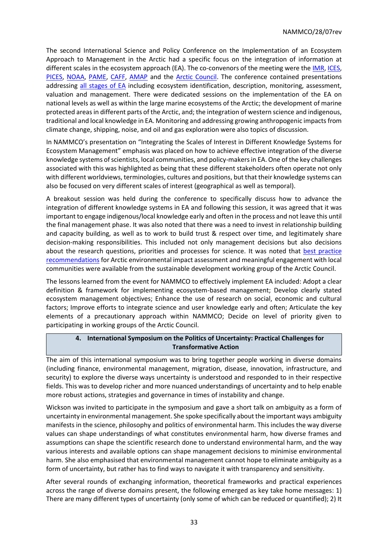The second International Science and Policy Conference on the Implementation of an Ecosystem Approach to Management in the Arctic had a specific focus on the integration of information at different scales in the ecosystem approach (EA). The co-convenors of the meeting were th[e IMR,](https://www.hi.no/hi) [ICES,](https://www.ices.dk/Pages/default.aspx) [PICES,](https://meetings.pices.int/) [NOAA,](https://www.noaa.gov/) [PAME,](https://www.pame.is/index.php/shortcode/about-us) [CAFF,](https://www.caff.is/) [AMAP](https://www.amap.no/) and the [Arctic Council.](https://arctic-council.org/index.php/en/) The conference contained presentations addressing [all stages of EA](https://nammco.no/topics/implementing-the-ecosystem-approach-to-management/) including ecosystem identification, description, monitoring, assessment, valuation and management. There were dedicated sessions on the implementation of the EA on national levels as well as within the large marine ecosystems of the Arctic; the development of marine protected areas in different parts of the Arctic, and; the integration of western science and indigenous, traditional and local knowledge in EA. Monitoring and addressing growing anthropogenic impacts from climate change, shipping, noise, and oil and gas exploration were also topics of discussion.

In NAMMCO's presentation on "Integrating the Scales of Interest in Different Knowledge Systems for Ecosystem Management" emphasis was placed on how to achieve effective integration of the diverse knowledge systems of scientists, local communities, and policy-makers in EA. One of the key challenges associated with this was highlighted as being that these different stakeholders often operate not only with different worldviews, terminologies, cultures and positions, but that their knowledge systems can also be focused on very different scales of interest (geographical as well as temporal).

A breakout session was held during the conference to specifically discuss how to advance the integration of different knowledge systems in EA and following this session, it was agreed that it was important to engage indigenous/local knowledge early and often in the process and not leave this until the final management phase. It was also noted that there was a need to invest in relationship building and capacity building, as well as to work to build trust & respect over time, and legitimately share decision-making responsibilities. This included not only management decisions but also decisions about the research questions, priorities and processes for science. It was noted that best practice [recommendations](https://www.sdwg.org/activities/sdwg-projects-2017-2019/arctic-eia/) for Arctic environmental impact assessment and meaningful engagement with local communities were available from the sustainable development working group of the Arctic Council.

The lessons learned from the event for NAMMCO to effectively implement EA included: Adopt a clear definition & framework for implementing ecosystem-based management; Develop clearly stated ecosystem management objectives; Enhance the use of research on social, economic and cultural factors; Improve efforts to integrate science and user knowledge early and often; Articulate the key elements of a precautionary approach within NAMMCO; Decide on level of priority given to participating in working groups of the Arctic Council.

## **4. International Symposium on the Politics of Uncertainty: Practical Challenges for Transformative Action**

The aim of this international symposium was to bring together people working in diverse domains (including finance, environmental management, migration, disease, innovation, infrastructure, and security) to explore the diverse ways uncertainty is understood and responded to in their respective fields. This was to develop richer and more nuanced understandings of uncertainty and to help enable more robust actions, strategies and governance in times of instability and change.

Wickson was invited to participate in the symposium and gave a short talk on ambiguity as a form of uncertainty in environmental management. She spoke specifically about the important ways ambiguity manifests in the science, philosophy and politics of environmental harm. This includes the way diverse values can shape understandings of what constitutes environmental harm, how diverse frames and assumptions can shape the scientific research done to understand environmental harm, and the way various interests and available options can shape management decisions to minimise environmental harm. She also emphasised that environmental management cannot hope to eliminate ambiguity as a form of uncertainty, but rather has to find ways to navigate it with transparency and sensitivity.

After several rounds of exchanging information, theoretical frameworks and practical experiences across the range of diverse domains present, the following emerged as key take home messages: 1) There are many different types of uncertainty (only some of which can be reduced or quantified); 2) It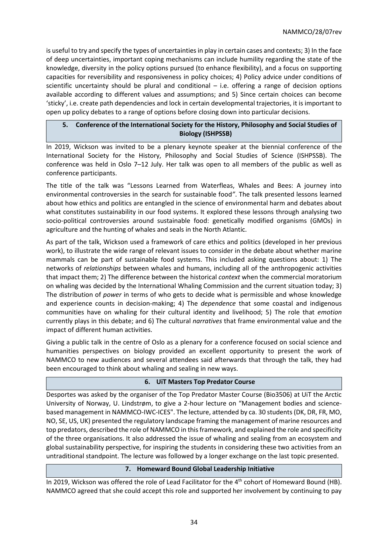is useful to try and specify the types of uncertainties in play in certain cases and contexts; 3) In the face of deep uncertainties, important coping mechanisms can include humility regarding the state of the knowledge, diversity in the policy options pursued (to enhance flexibility), and a focus on supporting capacities for reversibility and responsiveness in policy choices; 4) Policy advice under conditions of scientific uncertainty should be plural and conditional – i.e. offering a range of decision options available according to different values and assumptions; and 5) Since certain choices can become 'sticky', i.e. create path dependencies and lock in certain developmental trajectories, it is important to open up policy debates to a range of options before closing down into particular decisions.

## **5. Conference of the International Society for the History, Philosophy and Social Studies of Biology (ISHPSSB)**

In 2019, Wickson was invited to be a plenary keynote speaker at the biennial conference of the International Society for the History, Philosophy and Social Studies of Science (ISHPSSB). The conference was held in Oslo 7–12 July. Her talk was open to all members of the public as well as conference participants.

The title of the talk was "Lessons Learned from Waterfleas, Whales and Bees: A journey into environmental controversies in the search for sustainable food*"*. The talk presented lessons learned about how ethics and politics are entangled in the science of environmental harm and debates about what constitutes sustainability in our food systems. It explored these lessons through analysing two socio-political controversies around sustainable food: genetically modified organisms (GMOs) in agriculture and the hunting of whales and seals in the North Atlantic.

As part of the talk, Wickson used a framework of care ethics and politics (developed in her previous work), to illustrate the wide range of relevant issues to consider in the debate about whether marine mammals can be part of sustainable food systems. This included asking questions about: 1) The networks of *relationships* between whales and humans, including all of the anthropogenic activities that impact them; 2) The difference between the historical *context* when the commercial moratorium on whaling was decided by the International Whaling Commission and the current situation today; 3) The distribution of *power* in terms of who gets to decide what is permissible and whose knowledge and experience counts in decision-making; 4) The *dependence* that some coastal and indigenous communities have on whaling for their cultural identity and livelihood; 5) The role that *emotion*  currently plays in this debate; and 6) The cultural *narratives* that frame environmental value and the impact of different human activities.

Giving a public talk in the centre of Oslo as a plenary for a conference focused on social science and humanities perspectives on biology provided an excellent opportunity to present the work of NAMMCO to new audiences and several attendees said afterwards that through the talk, they had been encouraged to think about whaling and sealing in new ways.

#### **6. UiT Masters Top Predator Course**

Desportes was asked by the organiser of the Top Predator Master Course (Bio3506) at UiT the Arctic University of Norway, U. Lindstrøm, to give a 2-hour lecture on "Management bodies and sciencebased management in NAMMCO-IWC-ICES". The lecture, attended by ca. 30 students (DK, DR, FR, MO, NO, SE, US, UK) presented the regulatory landscape framing the management of marine resources and top predators, described the role of NAMMCO in this framework, and explained the role and specificity of the three organisations. It also addressed the issue of whaling and sealing from an ecosystem and global sustainability perspective, for inspiring the students in considering these two activities from an untraditional standpoint. The lecture was followed by a longer exchange on the last topic presented.

## **7. Homeward Bound Global Leadership Initiative**

<span id="page-33-0"></span>In 2019, Wickson was offered the role of Lead Facilitator for the 4<sup>th</sup> cohort of Homeward Bound (HB). NAMMCO agreed that she could accept this role and supported her involvement by continuing to pay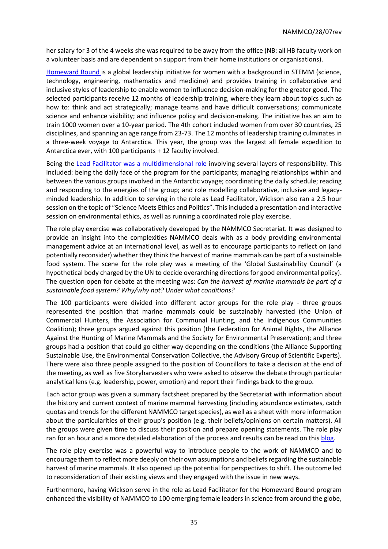her salary for 3 of the 4 weeks she was required to be away from the office (NB: all HB faculty work on a volunteer basis and are dependent on support from their home institutions or organisations).

[Homeward Bound](https://homewardboundprojects.com.au/) is a global leadership initiative for women with a background in STEMM (science, technology, engineering, mathematics and medicine) and provides training in collaborative and inclusive styles of leadership to enable women to influence decision-making for the greater good. The selected participants receive 12 months of leadership training, where they learn about topics such as how to: think and act strategically; manage teams and have difficult conversations; communicate science and enhance visibility; and influence policy and decision-making. The initiative has an aim to train 1000 women over a 10-year period. The 4th cohort included women from over 30 countries, 25 disciplines, and spanning an age range from 23-73. The 12 months of leadership training culminates in a three-week voyage to Antarctica. This year, the group was the largest all female expedition to Antarctica ever, with 100 participants + 12 faculty involved.

Being the [Lead Facilitator was a multidimensional role](https://nammco.no/topics/blog-what-does-it-mean-to-be-the-lead-facilitator-for-homeward-bound/) involving several layers of responsibility. This included: being the daily face of the program for the participants; managing relationships within and between the various groups involved in the Antarctic voyage; coordinating the daily schedule; reading and responding to the energies of the group; and role modelling collaborative, inclusive and legacyminded leadership. In addition to serving in the role as Lead Facilitator, Wickson also ran a 2.5 hour session on the topic of "Science Meets Ethics and Politics". This included a presentation and interactive session on environmental ethics, as well as running a coordinated role play exercise.

The role play exercise was collaboratively developed by the NAMMCO Secretariat. It was designed to provide an insight into the complexities NAMMCO deals with as a body providing environmental management advice at an international level, as well as to encourage participants to reflect on (and potentially reconsider) whether they think the harvest of marine mammals can be part of a sustainable food system. The scene for the role play was a meeting of the 'Global Sustainability Council' (a hypothetical body charged by the UN to decide overarching directions for good environmental policy). The question open for debate at the meeting was: *Can the harvest of marine mammals be part of a sustainable food system? Why/why not? Under what conditions?*

The 100 participants were divided into different actor groups for the role play - three groups represented the position that marine mammals could be sustainably harvested (the Union of Commercial Hunters, the Association for Communal Hunting, and the Indigenous Communities Coalition); three groups argued against this position (the Federation for Animal Rights, the Alliance Against the Hunting of Marine Mammals and the Society for Environmental Preservation); and three groups had a position that could go either way depending on the conditions (the Alliance Supporting Sustainable Use, the Environmental Conservation Collective, the Advisory Group of Scientific Experts). There were also three people assigned to the position of Councillors to take a decision at the end of the meeting, as well as five Storyharvesters who were asked to observe the debate through particular analytical lens (e.g. leadership, power, emotion) and report their findings back to the group.

Each actor group was given a summary factsheet prepared by the Secretariat with information about the history and current context of marine mammal harvesting (including abundance estimates, catch quotas and trends for the different NAMMCO target species), as well as a sheet with more information about the particularities of their group's position (e.g. their beliefs/opinions on certain matters). All the groups were given time to discuss their position and prepare opening statements. The role play ran for an hour and a more detailed elaboration of the process and results can be read on thi[s blog.](https://nammco.no/topics/blog-can-the-harvest-of-marine-mammals-be-part-of-a-sustainable-food-system-learning-from-role-play/)

The role play exercise was a powerful way to introduce people to the work of NAMMCO and to encourage them to reflect more deeply on their own assumptions and beliefs regarding the sustainable harvest of marine mammals. It also opened up the potential for perspectives to shift. The outcome led to reconsideration of their existing views and they engaged with the issue in new ways.

Furthermore, having Wickson serve in the role as Lead Facilitator for the Homeward Bound program enhanced the visibility of NAMMCO to 100 emerging female leaders in science from around the globe,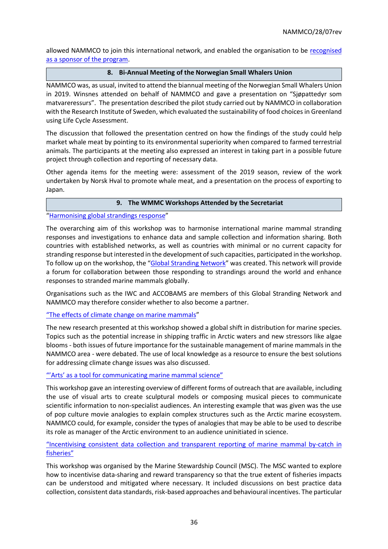allowed NAMMCO to join this international network, and enabled the organisation to be recognised [as a sponsor of the program.](https://homewardboundprojects.com.au/sponsors/)

#### **8. Bi-Annual Meeting of the Norwegian Small Whalers Union**

NAMMCO was, as usual, invited to attend the biannual meeting of the Norwegian Small Whalers Union in 2019. Winsnes attended on behalf of NAMMCO and gave a presentation on "Sjøpattedyr som matvareressurs". The presentation described the pilot study carried out by NAMMCO in collaboration with the Research Institute of Sweden, which evaluated the sustainability of food choices in Greenland using Life Cycle Assessment.

The discussion that followed the presentation centred on how the findings of the study could help market whale meat by pointing to its environmental superiority when compared to farmed terrestrial animals. The participants at the meeting also expressed an interest in taking part in a possible future project through collection and reporting of necessary data.

Other agenda items for the meeting were: assessment of the 2019 season, review of the work undertaken by Norsk Hval to promote whale meat, and a presentation on the process of exporting to Japan.

#### **9. The WMMC Workshops Attended by the Secretariat**

## "[Harmonising global strandings response](https://www.wmmconference.org/workshops/#Establishing%20A%20Global%20Marine%20Mammal%20Stranding%20Network)"

The overarching aim of this workshop was to harmonise international marine mammal stranding responses and investigations to enhance data and sample collection and information sharing. Both countries with established networks, as well as countries with minimal or no current capacity for stranding response but interested in the development of such capacities, participated in the workshop. To follow up on the workshop, the "[Global Stranding Network](https://globalstrandingnetwork.org/)" was created. This network will provide a forum for collaboration between those responding to strandings around the world and enhance responses to stranded marine mammals globally.

Organisations such as the IWC and ACCOBAMS are members of this Global Stranding Network and NAMMCO may therefore consider whether to also become a partner.

#### ["The effects of climate change on marine mammals"](https://www.wmmconference.org/workshops/#Climate%20Change%20Effects%20on%20Marine%20Mammals)

The new research presented at this workshop showed a global shift in distribution for marine species. Topics such as the potential increase in shipping traffic in Arctic waters and new stressors like algae blooms - both issues of future importance for the sustainable management of marine mammals in the NAMMCO area - were debated. The use of local knowledge as a resource to ensure the best solutions for addressing climate change issues was also discussed.

#### ["'Arts' as a tool for communicating marine mammal science"](https://www.wmmconference.org/workshops/#Arts%20as%20a%20tool%20for%20communicating%20marine%20mammal%20science)

This workshop gave an interesting overview of different forms of outreach that are available, including the use of visual arts to create sculptural models or composing musical pieces to communicate scientific information to non-specialist audiences. An interesting example that was given was the use of pop culture movie analogies to explain complex structures such as the Arctic marine ecosystem. NAMMCO could, for example, consider the types of analogies that may be able to be used to describe its role as manager of the Arctic environment to an audience uninitiated in science.

## "Incentivising consistent data collect[ion and transparent reporting of marine mammal by-catch in](https://www.wmmconference.org/workshops/#Incentivising%20consistent%20data%20collection%20and%20transparent%20reporting%20of%20marine%20mammal%20bycatch%20in%20fisheries)  [fisheries"](https://www.wmmconference.org/workshops/#Incentivising%20consistent%20data%20collection%20and%20transparent%20reporting%20of%20marine%20mammal%20bycatch%20in%20fisheries)

This workshop was organised by the Marine Stewardship Council (MSC). The MSC wanted to explore how to incentivise data-sharing and reward transparency so that the true extent of fisheries impacts can be understood and mitigated where necessary. It included discussions on best practice data collection, consistent data standards, risk-based approaches and behavioural incentives. The particular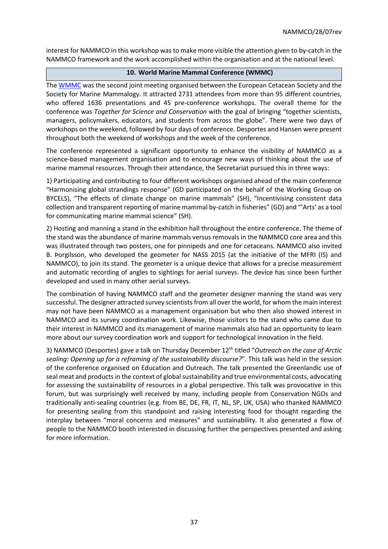interest for NAMMCO in this workshop was to make more visible the attention given to by-catch in the NAMMCO framework and the work accomplished within the organisation and at the national level.

## **10. World Marine Mammal Conference (WMMC)**

The [WMMC](https://www.wmmconference.org/) was the second joint meeting organised between the European Cetacean Society and the Society for Marine Mammalogy. It attracted 2731 attendees from more than 95 different countries, who offered 1636 presentations and 45 pre-conference workshops. The overall theme for the conference was *Together for Science and Conservation* with the goal of bringing "together scientists, managers, policymakers, educators, and students from across the globe". There were two days of workshops on the weekend, followed by four days of conference. Desportes and Hansen were present throughout both the weekend of workshops and the week of the conference.

The conference represented a significant opportunity to enhance the visibility of NAMMCO as a science-based management organisation and to encourage new ways of thinking about the use of marine mammal resources. Through their attendance, the Secretariat pursued this in three ways:

1) Participating and contributing to four different workshops organised ahead of the main conference "Harmonising global strandings response" (GD participated on the behalf of the Working Group on BYCELS), "The effects of climate change on marine mammals" (SH), "Incentivising consistent data collection and transparent reporting of marine mammal by-catch in fisheries" (GD) and "'Arts' as a tool for communicating marine mammal science" (SH).

2) Hosting and manning a stand in the exhibition hall throughout the entire conference. The theme of the stand was the abundance of marine mammals versus removals in the NAMMCO core area and this was illustrated through two posters, one for pinnipeds and one for cetaceans. NAMMCO also invited B. Þorgilsson, who developed the geometer for NASS 2015 (at the initiative of the MFRI (IS) and NAMMCO), to join its stand. The geometer is a unique device that allows for a precise measurement and automatic recording of angles to sightings for aerial surveys. The device has since been further developed and used in many other aerial surveys.

The combination of having NAMMCO staff and the geometer designer manning the stand was very successful. The designer attracted survey scientists from all over the world, for whom the main interest may not have been NAMMCO as a management organisation but who then also showed interest in NAMMCO and its survey coordination work. Likewise, those visitors to the stand who came due to their interest in NAMMCO and its management of marine mammals also had an opportunity to learn more about our survey coordination work and support for technological innovation in the field.

3) NAMMCO (Desportes) gave a talk on Thursday December 12th titled "*Outreach on the case of Arctic sealing: Opening up for a reframing of the sustainability discourse?*". This talk was held in the session of the conference organised on Education and Outreach. The talk presented the Greenlandic use of seal meat and products in the context of global sustainability and true environmental costs, advocating for assessing the sustainability of resources in a global perspective. This talk was provocative in this forum, but was surprisingly well received by many, including people from Conservation NGOs and traditionally anti-sealing countries (e.g. from BE, DE, FR, IT, NL, SP, UK, USA) who thanked NAMMCO for presenting sealing from this standpoint and raising interesting food for thought regarding the interplay between "moral concerns and measures" and sustainability. It also generated a flow of people to the NAMMCO booth interested in discussing further the perspectives presented and asking for more information.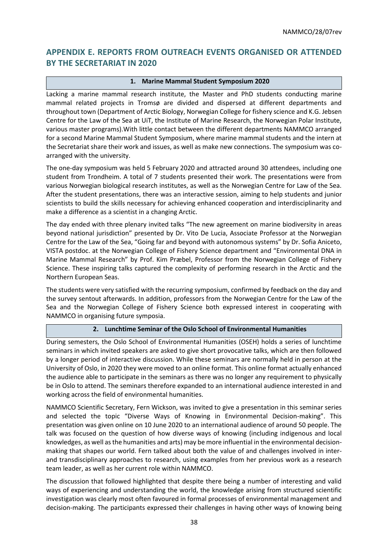# <span id="page-37-0"></span>**APPENDIX E. REPORTS FROM OUTREACH EVENTS ORGANISED OR ATTENDED BY THE SECRETARIAT IN 2020**

## **1. Marine Mammal Student Symposium 2020**

Lacking a marine mammal research institute, the Master and PhD students conducting marine mammal related projects in Tromsø are divided and dispersed at different departments and throughout town (Department of Arctic Biology, Norwegian College for fishery science and K.G. Jebsen Centre for the Law of the Sea at UiT, the Institute of Marine Research, the Norwegian Polar Institute, various master programs).With little contact between the different departments NAMMCO arranged for a second Marine Mammal Student Symposium, where marine mammal students and the intern at the Secretariat share their work and issues, as well as make new connections. The symposium was coarranged with the university.

The one-day symposium was held 5 February 2020 and attracted around 30 attendees, including one student from Trondheim. A total of 7 students presented their work. The presentations were from various Norwegian biological research institutes, as well as the Norwegian Centre for Law of the Sea. After the student presentations, there was an interactive session, aiming to help students and junior scientists to build the skills necessary for achieving enhanced cooperation and interdisciplinarity and make a difference as a scientist in a changing Arctic.

The day ended with three plenary invited talks "The new agreement on marine biodiversity in areas beyond national jurisdiction" presented by Dr. Vito De Lucia, Associate Professor at the Norwegian Centre for the Law of the Sea, "Going far and beyond with autonomous systems" by Dr. Sofia Aniceto, VISTA postdoc. at the Norwegian College of Fishery Science department and "Environmental DNA in Marine Mammal Research" by Prof. Kim Præbel, Professor from the Norwegian College of Fishery Science. These inspiring talks captured the complexity of performing research in the Arctic and the Northern European Seas.

The students were very satisfied with the recurring symposium, confirmed by feedback on the day and the survey sentout afterwards. In addition, professors from the Norwegian Centre for the Law of the Sea and the Norwegian College of Fishery Science both expressed interest in cooperating with NAMMCO in organising future symposia.

#### **2. Lunchtime Seminar of the Oslo School of Environmental Humanities**

During semesters, the Oslo School of Environmental Humanities (OSEH) holds a series of lunchtime seminars in which invited speakers are asked to give short provocative talks, which are then followed by a longer period of interactive discussion. While these seminars are normally held in person at the University of Oslo, in 2020 they were moved to an online format. This online format actually enhanced the audience able to participate in the seminars as there was no longer any requirement to physically be in Oslo to attend. The seminars therefore expanded to an international audience interested in and working across the field of environmental humanities.

NAMMCO Scientific Secretary, Fern Wickson, was invited to give a presentation in this seminar series and selected the topic "Diverse Ways of Knowing in Environmental Decision-making". This presentation was given online on 10 June 2020 to an international audience of around 50 people. The talk was focused on the question of how diverse ways of knowing (including indigenous and local knowledges, as well as the humanities and arts) may be more influential in the environmental decisionmaking that shapes our world. Fern talked about both the value of and challenges involved in interand transdisciplinary approaches to research, using examples from her previous work as a research team leader, as well as her current role within NAMMCO.

The discussion that followed highlighted that despite there being a number of interesting and valid ways of experiencing and understanding the world, the knowledge arising from structured scientific investigation was clearly most often favoured in formal processes of environmental management and decision-making. The participants expressed their challenges in having other ways of knowing being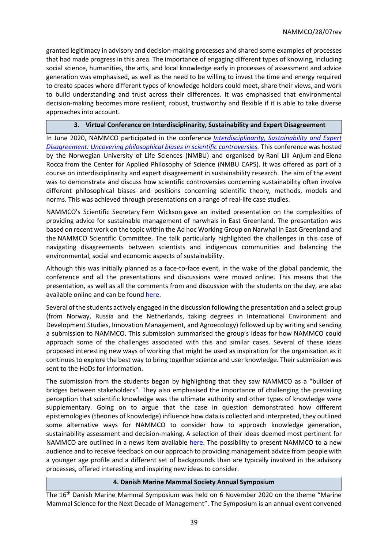granted legitimacy in advisory and decision-making processes and shared some examples of processes that had made progress in this area. The importance of engaging different types of knowing, including social science, humanities, the arts, and local knowledge early in processes of assessment and advice generation was emphasised, as well as the need to be willing to invest the time and energy required to create spaces where different types of knowledge holders could meet, share their views, and work to build understanding and trust across their differences. It was emphasised that environmental decision-making becomes more resilient, robust, trustworthy and flexible if it is able to take diverse approaches into account.

#### **3. Virtual Conference on Interdisciplinarity, Sustainability and Expert Disagreement**

In June 2020, NAMMCO participated in the conference *[Interdisciplinarity, Sustainability and Expert](https://interdisciplinarityandexpertdisagreement.wordpress.com/)  [Disagreement: Uncovering philosophical biases in scientific controversies.](https://interdisciplinarityandexpertdisagreement.wordpress.com/)* This conference was hosted by the Norwegian University of Life Sciences (NMBU) and organised by Rani Lill Anjum and Elena Rocca from the Center for Applied Philosophy of Science (NMBU CAPS). It was offered as part of a course on interdisciplinarity and expert disagreement in sustainability research. The aim of the event was to demonstrate and discuss how scientific controversies concerning sustainability often involve different philosophical biases and positions concerning scientific theory, methods, models and norms. This was achieved through presentations on a range of real-life case studies.

NAMMCO's Scientific Secretary Fern Wickson gave an invited presentation on the complexities of providing advice for sustainable management of narwhals in East Greenland. The presentation was based on recent work on the topic within the Ad hoc Working Group on Narwhal in East Greenland and the NAMMCO Scientific Committee. The talk particularly highlighted the challenges in this case of navigating disagreements between scientists and indigenous communities and balancing the environmental, social and economic aspects of sustainability.

Although this was initially planned as a face-to-face event, in the wake of the global pandemic, the conference and all the presentations and discussions were moved online. This means that the presentation, as well as all the comments from and discussion with the students on the day, are also available online and can be found [here.](https://interdisciplinarityandexpertdisagreement.wordpress.com/saving-the-unicorn-of-the-sea-science-ethics-and-politics-in-the-sustainable-management-of-narwhal-in-east-greenland/)

Several of the students actively engaged in the discussion following the presentation and a select group (from Norway, Russia and the Netherlands, taking degrees in International Environment and Development Studies, Innovation Management, and Agroecology) followed up by writing and sending a submission to NAMMCO. This submission summarised the group's ideas for how NAMMCO could approach some of the challenges associated with this and similar cases. Several of these ideas proposed interesting new ways of working that might be used as inspiration for the organisation as it continuesto explore the best way to bring together science and user knowledge. Their submission was sent to the HoDs for information.

The submission from the students began by highlighting that they saw NAMMCO as a "builder of bridges between stakeholders". They also emphasised the importance of challenging the prevailing perception that scientific knowledge was the ultimate authority and other types of knowledge were supplementary. Going on to argue that the case in question demonstrated how different epistemologies (theories of knowledge) influence how data is collected and interpreted, they outlined some alternative ways for NAMMCO to consider how to approach knowledge generation, sustainability assessment and decision-making. A selection of their ideas deemed most pertinent for NAMMCO are outlined in a news item available [here.](https://nammco.no/topics/nammco-receives-ideas-from-interdisciplinary-students/) The possibility to present NAMMCO to a new audience and to receive feedback on our approach to providing management advice from people with a younger age profile and a different set of backgrounds than are typically involved in the advisory processes, offered interesting and inspiring new ideas to consider.

#### **4. Danish Marine Mammal Society Annual Symposium**

The 16th Danish Marine Mammal Symposium was held on 6 November 2020 on the theme "Marine Mammal Science for the Next Decade of Management". The Symposium is an annual event convened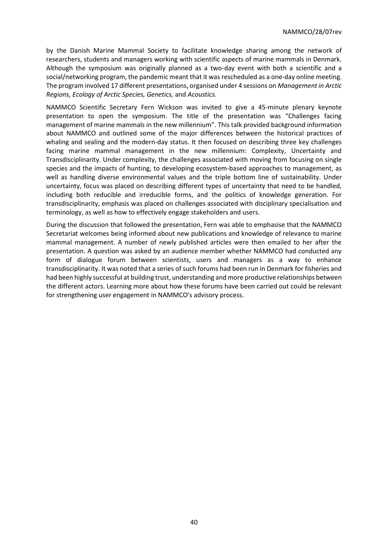by the Danish Marine Mammal Society to facilitate knowledge sharing among the network of researchers, students and managers working with scientific aspects of marine mammals in Denmark. Although the symposium was originally planned as a two-day event with both a scientific and a social/networking program, the pandemic meant that it was rescheduled as a one-day online meeting. The program involved 17 different presentations, organised under 4 sessions on *Management in Arctic Regions, Ecology of Arctic Species, Genetics,* and *Acoustics.* 

NAMMCO Scientific Secretary Fern Wickson was invited to give a 45-minute plenary keynote presentation to open the symposium. The title of the presentation was "Challenges facing management of marine mammals in the new millennium". This talk provided background information about NAMMCO and outlined some of the major differences between the historical practices of whaling and sealing and the modern-day status. It then focused on describing three key challenges facing marine mammal management in the new millennium: Complexity, Uncertainty and Transdisciplinarity. Under complexity, the challenges associated with moving from focusing on single species and the impacts of hunting, to developing ecosystem-based approaches to management, as well as handling diverse environmental values and the triple bottom line of sustainability. Under uncertainty, focus was placed on describing different types of uncertainty that need to be handled, including both reducible and irreducible forms, and the politics of knowledge generation. For transdisciplinarity, emphasis was placed on challenges associated with disciplinary specialisation and terminology, as well as how to effectively engage stakeholders and users.

During the discussion that followed the presentation, Fern was able to emphasise that the NAMMCO Secretariat welcomes being informed about new publications and knowledge of relevance to marine mammal management. A number of newly published articles were then emailed to her after the presentation. A question was asked by an audience member whether NAMMCO had conducted any form of dialogue forum between scientists, users and managers as a way to enhance transdisciplinarity. It was noted that a series of such forums had been run in Denmark for fisheries and had been highly successful at building trust, understanding and more productive relationships between the different actors. Learning more about how these forums have been carried out could be relevant for strengthening user engagement in NAMMCO's advisory process.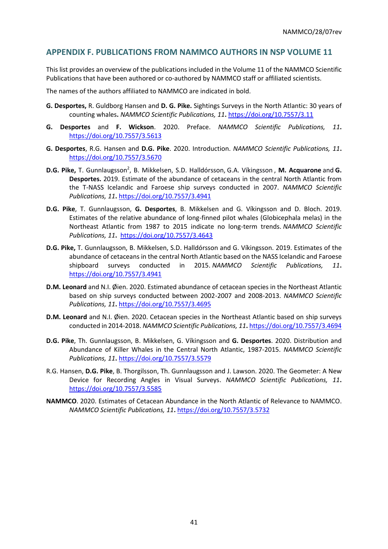## <span id="page-40-0"></span>**APPENDIX F. PUBLICATIONS FROM NAMMCO AUTHORS IN NSP VOLUME 11**

This list provides an overview of the publications included in the Volume 11 of the NAMMCO Scientific Publications that have been authored or co-authored by NAMMCO staff or affiliated scientists.

The names of the authors affiliated to NAMMCO are indicated in bold.

- **G. Desportes,** R. Guldborg Hansen and **D. G. Pike.** Sightings Surveys in the North Atlantic: 30 years of counting whales**.** *NAMMCO Scientific Publications, 11***.** <https://doi.org/10.7557/3.11>
- **G. Desportes** and **F. Wickson**. 2020. Preface. *NAMMCO Scientific Publications, 11***.**  <https://doi.org/10.7557/3.5613>
- **G. Desportes**, R.G. Hansen and **D.G. Pike**. 2020. Introduction. *NAMMCO Scientific Publications, 11***.**  <https://doi.org/10.7557/3.5670>
- **D.G. Pike,** T. Gunnlaugsson<sup>2</sup>, B. Mikkelsen, S.D. Halldórsson, G.A. Víkingsson, M. Acquarone and G. **Desportes.** 2019. Estimate of the abundance of cetaceans in the central North Atlantic from the T-NASS Icelandic and Faroese ship surveys conducted in 2007. *NAMMCO Scientific Publications, 11***.** <https://doi.org/10.7557/3.4941>
- **D.G. Pike**, T. Gunnlaugsson, **G. Desportes**, B. Mikkelsen and G. Víkingsson and D. Bloch. 2019. Estimates of the relative abundance of long-finned pilot whales (Globicephala melas) in the Northeast Atlantic from 1987 to 2015 indicate no long-term trends. *NAMMCO Scientific Publications, 11***.** <https://doi.org/10.7557/3.4643>
- **D.G. Pike,** T. Gunnlaugsson, B. Mikkelsen, S.D. Halldórsson and G. Víkingsson. 2019. Estimates of the abundance of cetaceans in the central North Atlantic based on the NASS Icelandic and Faroese shipboard surveys conducted in 2015. *NAMMCO Scientific Publications, 11***.**  <https://doi.org/10.7557/3.4941>
- **D.M. Leonard** and N.I. Øien. 2020. Estimated abundance of cetacean species in the Northeast Atlantic based on ship surveys conducted between 2002-2007 and 2008-2013. *NAMMCO Scientific Publications, 11***.** <https://doi.org/10.7557/3.4695>
- **D.M. Leonard** and N.I. Øien. 2020. Cetacean species in the Northeast Atlantic based on ship surveys conducted in 2014-2018. *NAMMCO Scientific Publications, 11***.** <https://doi.org/10.7557/3.4694>
- **D.G. Pike**, Th. Gunnlaugsson, B. Mikkelsen, G. Víkingsson and **G. Desportes**. 2020. Distribution and Abundance of Killer Whales in the Central North Atlantic, 1987-2015. *NAMMCO Scientific Publications, 11***.** <https://doi.org/10.7557/3.5579>
- R.G. Hansen, **D.G. Pike**, B. Thorgilsson, Th. Gunnlaugsson and J. Lawson. 2020. The Geometer: A New Device for Recording Angles in Visual Surveys. *NAMMCO Scientific Publications, 11***.**  <https://doi.org/10.7557/3.5585>
- **NAMMCO**. 2020. Estimates of Cetacean Abundance in the North Atlantic of Relevance to NAMMCO. *NAMMCO Scientific Publications, 11***.** <https://doi.org/10.7557/3.5732>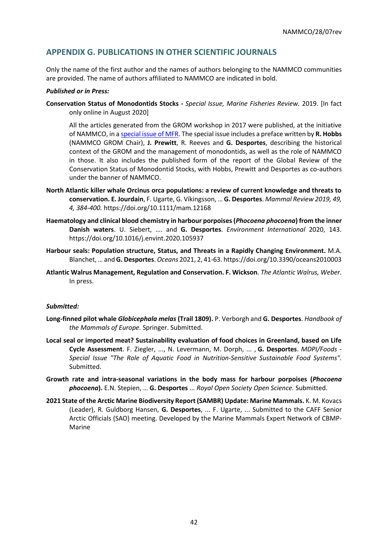## <span id="page-41-0"></span>**APPENDIX G. PUBLICATIONS IN OTHER SCIENTIFIC JOURNALS**

Only the name of the first author and the names of authors belonging to the NAMMCO communities are provided. The name of authors affiliated to NAMMCO are indicated in bold.

#### *Published or in Press:*

**Conservation Status of Monodontids Stocks -** *Special Issue, Marine Fisheries Review.* 2019. [In fact only online in August 2020]

All the articles generated from the GROM workshop in 2017 were published, at the initiative of NAMMCO, in [a special issue of MFR.](https://spo.nmfs.noaa.gov/marine-fisheries-review/mfr-813-4-2019) The special issue includes a preface written by **R. Hobbs** (NAMMCO GROM Chair), **J. Prewitt**, R. Reeves and **G. Desportes**, describing the historical context of the GROM and the management of monodontids, as well as the role of NAMMCO in those. It also includes the published form of the report of the Global Review of the Conservation Status of Monodontid Stocks, with Hobbs, Prewitt and Desportes as co-authors under the banner of NAMMCO.

- **North Atlantic killer whale Orcinus orca populations: a review of current knowledge and threats to conservation. E. Jourdain**, F. Ugarte, G. Víkingsson, … **G. Desportes**. *Mammal Review 2019, 49, 4, 384-400.* <https://doi.org/10.1111/mam.12168>
- **Haematology and clinical blood chemistry in harbour porpoises (***Phocoena phocoena***) from the inner Danish waters**. U. Siebert, …. and **G. Desportes**. *Environment International* 2020, 143. <https://doi.org/10.1016/j.envint.2020.105937>
- **Harbour seals: Population structure, Status, and Threats in a Rapidly Changing Environment.** M.A. Blanchet, … and **G. Desportes**. *Oceans* 2021, 2, 41-63. https://doi.org/10.3390/oceans2010003
- **Atlantic Walrus Management, Regulation and Conservation. F. Wickson**. *The Atlantic Walrus, Weber.*  In press.

#### *Submitted:*

- **Long-finned pilot whale** *Globicephala melas* **(Trail 1809).** P. Verborgh and **G. Desportes**. *Handbook of the Mammals of Europe.* Springer. Submitted.
- **Local seal or imported meat? Sustainability evaluation of food choices in Greenland, based on Life Cycle Assessment**. F. Ziegler, ..., N. Levermann, M. Dorph, ... , **G. Desportes**. *MDPI/Foods* - *Special Issue "The Role of Aquatic Food in Nutrition-Sensitive Sustainable Food Systems".* Submitted.
- **Growth rate and intra-seasonal variations in the body mass for harbour porpoises (***Phocoena phocoena***).** E.N. Stepien, … **G. Desportes** ... *Royal Open Society Open Science.* Submitted.
- **2021 State of the Arctic Marine Biodiversity Report (SAMBR) Update: Marine Mammals.** K. M. Kovacs (Leader), R. Guldborg Hansen, **G. Desportes**, ... F. Ugarte, ... Submitted to the CAFF Senior Arctic Officials (SAO) meeting. Developed by the Marine Mammals Expert Network of CBMP-Marine